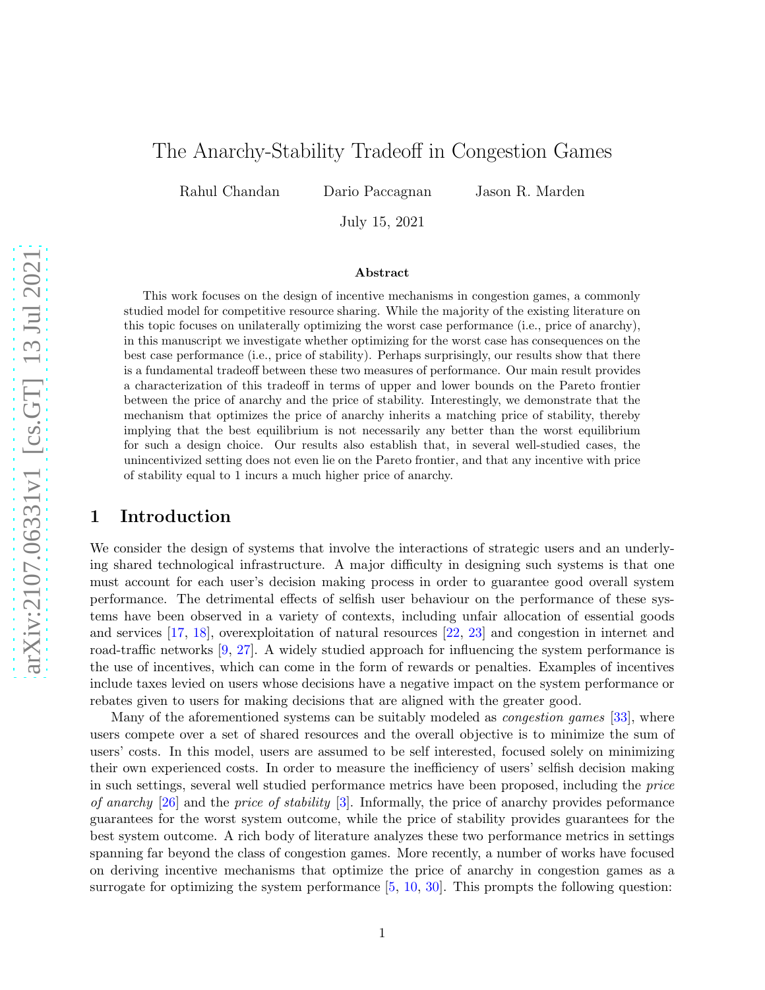# The Anarchy-Stability Tradeoff in Congestion Games

Rahul Chandan Dario Paccagnan Jason R. Marden

July 15, 2021

#### Abstract

This work focuses on the design of incentive mechanisms in congestion games, a commonly studied model for competitive resource sharing. While the majority of the existing literature on this topic focuses on unilaterally optimizing the worst case performance (i.e., price of anarchy), in this manuscript we investigate whether optimizing for the worst case has consequences on the best case performance (i.e., price of stability). Perhaps surprisingly, our results show that there is a fundamental tradeoff between these two measures of performance. Our main result provides a characterization of this tradeoff in terms of upper and lower bounds on the Pareto frontier between the price of anarchy and the price of stability. Interestingly, we demonstrate that the mechanism that optimizes the price of anarchy inherits a matching price of stability, thereby implying that the best equilibrium is not necessarily any better than the worst equilibrium for such a design choice. Our results also establish that, in several well-studied cases, the unincentivized setting does not even lie on the Pareto frontier, and that any incentive with price of stability equal to 1 incurs a much higher price of anarchy.

### 1 Introduction

We consider the design of systems that involve the interactions of strategic users and an underlying shared technological infrastructure. A major difficulty in designing such systems is that one must account for each user's decision making process in order to guarantee good overall system performance. The detrimental effects of selfish user behaviour on the performance of these systems have been observed in a variety of contexts, including unfair allocation of essential goods and services [\[17](#page-16-0), [18](#page-16-1)], overexploitation of natural resources [\[22](#page-17-0), [23](#page-17-1)] and congestion in internet and road-traffic networks [\[9,](#page-16-2) [27](#page-17-2)]. A widely studied approach for influencing the system performance is the use of incentives, which can come in the form of rewards or penalties. Examples of incentives include taxes levied on users whose decisions have a negative impact on the system performance or rebates given to users for making decisions that are aligned with the greater good.

Many of the aforementioned systems can be suitably modeled as *congestion games* [\[33](#page-17-3)], where users compete over a set of shared resources and the overall objective is to minimize the sum of users' costs. In this model, users are assumed to be self interested, focused solely on minimizing their own experienced costs. In order to measure the inefficiency of users' selfish decision making in such settings, several well studied performance metrics have been proposed, including the price of anarchy  $[26]$  and the price of stability  $[3]$  $[3]$ . Informally, the price of anarchy provides peformance guarantees for the worst system outcome, while the price of stability provides guarantees for the best system outcome. A rich body of literature analyzes these two performance metrics in settings spanning far beyond the class of congestion games. More recently, a number of works have focused on deriving incentive mechanisms that optimize the price of anarchy in congestion games as a surrogate for optimizing the system performance [\[5](#page-16-3), [10](#page-16-4), [30\]](#page-17-5). This prompts the following question: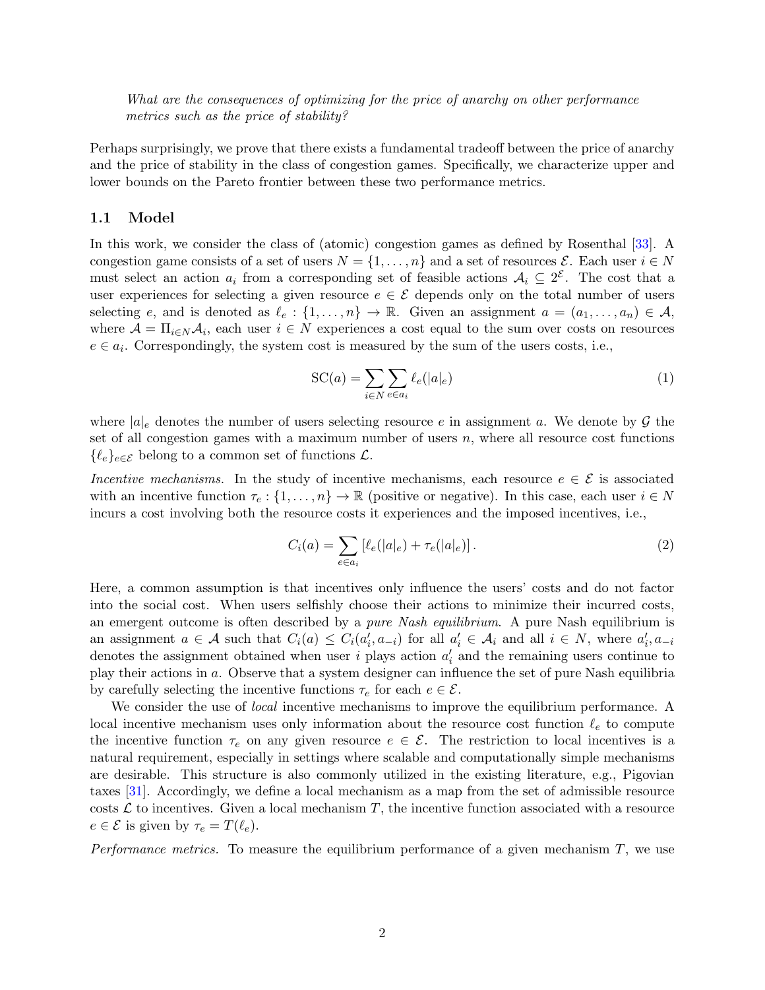What are the consequences of optimizing for the price of anarchy on other performance metrics such as the price of stability?

Perhaps surprisingly, we prove that there exists a fundamental tradeoff between the price of anarchy and the price of stability in the class of congestion games. Specifically, we characterize upper and lower bounds on the Pareto frontier between these two performance metrics.

#### 1.1 Model

In this work, we consider the class of (atomic) congestion games as defined by Rosenthal [\[33](#page-17-3)]. A congestion game consists of a set of users  $N = \{1, \ldots, n\}$  and a set of resources  $\mathcal{E}$ . Each user  $i \in N$ must select an action  $a_i$  from a corresponding set of feasible actions  $A_i \subseteq 2^{\mathcal{E}}$ . The cost that a user experiences for selecting a given resource  $e \in \mathcal{E}$  depends only on the total number of users selecting e, and is denoted as  $\ell_e: \{1, \ldots, n\} \to \mathbb{R}$ . Given an assignment  $a = (a_1, \ldots, a_n) \in \mathcal{A}$ , where  $\mathcal{A} = \Pi_{i \in N} \mathcal{A}_i$ , each user  $i \in N$  experiences a cost equal to the sum over costs on resources  $e \in a_i$ . Correspondingly, the system cost is measured by the sum of the users costs, i.e.,

<span id="page-1-0"></span>
$$
SC(a) = \sum_{i \in N} \sum_{e \in a_i} \ell_e(|a|_e)
$$
 (1)

where  $|a|_e$  denotes the number of users selecting resource e in assignment a. We denote by  $\mathcal G$  the set of all congestion games with a maximum number of users  $n$ , where all resource cost functions  $\{\ell_e\}_{e \in \mathcal{E}}$  belong to a common set of functions  $\mathcal{L}$ .

Incentive mechanisms. In the study of incentive mechanisms, each resource  $e \in \mathcal{E}$  is associated with an incentive function  $\tau_e: \{1, \ldots, n\} \to \mathbb{R}$  (positive or negative). In this case, each user  $i \in N$ incurs a cost involving both the resource costs it experiences and the imposed incentives, i.e.,

$$
C_i(a) = \sum_{e \in a_i} \left[ \ell_e(|a|_e) + \tau_e(|a|_e) \right]. \tag{2}
$$

Here, a common assumption is that incentives only influence the users' costs and do not factor into the social cost. When users selfishly choose their actions to minimize their incurred costs, an emergent outcome is often described by a *pure Nash equilibrium*. A pure Nash equilibrium is an assignment  $a \in \mathcal{A}$  such that  $C_i(a) \leq C_i(a_i', a_{-i})$  for all  $a_i' \in \mathcal{A}_i$  and all  $i \in N$ , where  $a_i', a_{-i}$ denotes the assignment obtained when user  $i$  plays action  $a'_i$  and the remaining users continue to play their actions in a. Observe that a system designer can influence the set of pure Nash equilibria by carefully selecting the incentive functions  $\tau_e$  for each  $e \in \mathcal{E}$ .

We consider the use of *local* incentive mechanisms to improve the equilibrium performance. A local incentive mechanism uses only information about the resource cost function  $\ell_e$  to compute the incentive function  $\tau_e$  on any given resource  $e \in \mathcal{E}$ . The restriction to local incentives is a natural requirement, especially in settings where scalable and computationally simple mechanisms are desirable. This structure is also commonly utilized in the existing literature, e.g., Pigovian taxes [\[31](#page-17-6)]. Accordingly, we define a local mechanism as a map from the set of admissible resource costs  $\mathcal L$  to incentives. Given a local mechanism T, the incentive function associated with a resource  $e \in \mathcal{E}$  is given by  $\tau_e = T(\ell_e)$ .

*Performance metrics*. To measure the equilibrium performance of a given mechanism  $T$ , we use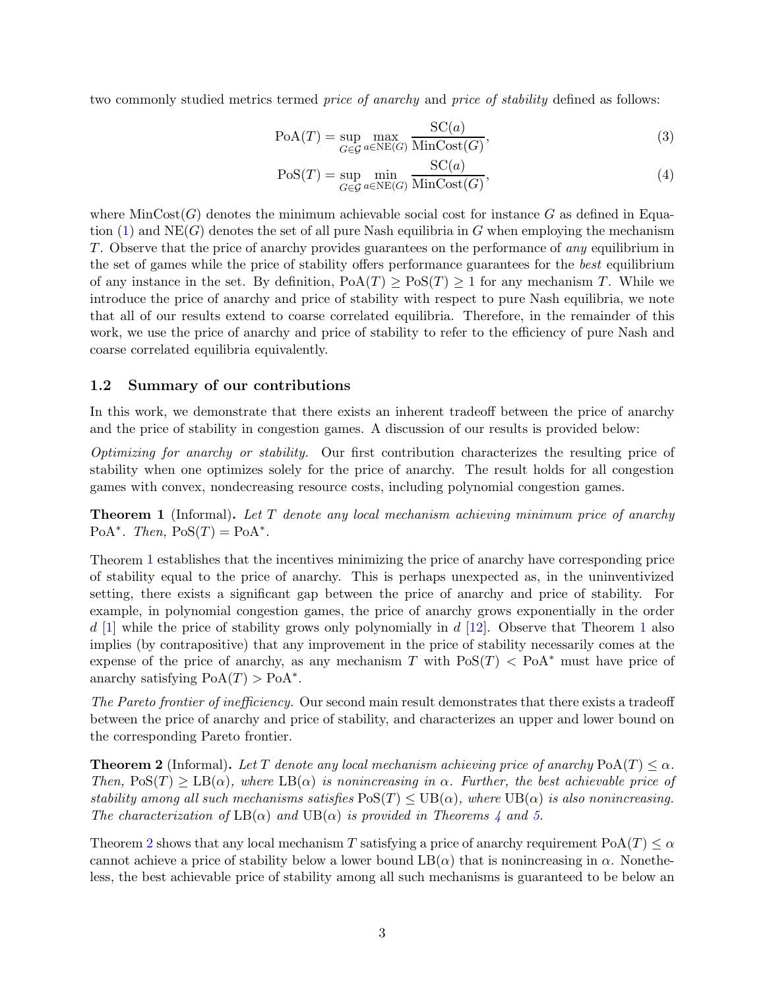two commonly studied metrics termed *price of anarchy* and *price of stability* defined as follows:

$$
PoA(T) = \sup_{G \in \mathcal{G}} \max_{a \in NE(G)} \frac{SC(a)}{\text{MinCost}(G)},\tag{3}
$$

$$
Pos(T) = \sup_{G \in \mathcal{G}} \min_{a \in NE(G)} \frac{SC(a)}{\text{MinCost}(G)},\tag{4}
$$

where  $MinCost(G)$  denotes the minimum achievable social cost for instance G as defined in Equation  $(1)$  and NE(G) denotes the set of all pure Nash equilibria in G when employing the mechanism T. Observe that the price of anarchy provides guarantees on the performance of any equilibrium in the set of games while the price of stability offers performance guarantees for the best equilibrium of any instance in the set. By definition,  $PoA(T) \geq PoS(T) \geq 1$  for any mechanism T. While we introduce the price of anarchy and price of stability with respect to pure Nash equilibria, we note that all of our results extend to coarse correlated equilibria. Therefore, in the remainder of this work, we use the price of anarchy and price of stability to refer to the efficiency of pure Nash and coarse correlated equilibria equivalently.

#### 1.2 Summary of our contributions

In this work, we demonstrate that there exists an inherent tradeoff between the price of anarchy and the price of stability in congestion games. A discussion of our results is provided below:

Optimizing for anarchy or stability. Our first contribution characterizes the resulting price of stability when one optimizes solely for the price of anarchy. The result holds for all congestion games with convex, nondecreasing resource costs, including polynomial congestion games.

<span id="page-2-0"></span>**Theorem 1** (Informal). Let  $T$  denote any local mechanism achieving minimum price of anarchy PoA<sup>\*</sup>. Then,  $PoS(T) = PoA^*$ .

Theorem [1](#page-2-0) establishes that the incentives minimizing the price of anarchy have corresponding price of stability equal to the price of anarchy. This is perhaps unexpected as, in the uninventivized setting, there exists a significant gap between the price of anarchy and price of stability. For example, in polynomial congestion games, the price of anarchy grows exponentially in the order  $d\ [1]$  $d\ [1]$  $d\ [1]$  while the price of stability grows only polynomially in  $d\ [12]$  $d\ [12]$ . Observe that Theorem [1](#page-2-0) also implies (by contrapositive) that any improvement in the price of stability necessarily comes at the expense of the price of anarchy, as any mechanism T with  $\text{PoS}(T) < \text{PoA}^*$  must have price of anarchy satisfying  $PoA(T) > PoA^*$ .

The Pareto frontier of inefficiency. Our second main result demonstrates that there exists a tradeoff between the price of anarchy and price of stability, and characterizes an upper and lower bound on the corresponding Pareto frontier.

<span id="page-2-1"></span>**Theorem 2** (Informal). Let T denote any local mechanism achieving price of anarchy PoA(T)  $\lt \alpha$ . Then,  $\text{PoS}(T) > \text{LB}(\alpha)$ , where  $\text{LB}(\alpha)$  is nonincreasing in  $\alpha$ . Further, the best achievable price of stability among all such mechanisms satisfies  $\text{PoS}(T) \leq \text{UB}(\alpha)$ , where  $\text{UB}(\alpha)$  is also nonincreasing. The characterization of  $LB(\alpha)$  and  $UB(\alpha)$  is provided in Theorems [4](#page-9-0) and [5.](#page-10-0)

Theorem [2](#page-2-1) shows that any local mechanism T satisfying a price of anarchy requirement  $PoA(T) \leq \alpha$ cannot achieve a price of stability below a lower bound  $LB(\alpha)$  that is nonincreasing in  $\alpha$ . Nonetheless, the best achievable price of stability among all such mechanisms is guaranteed to be below an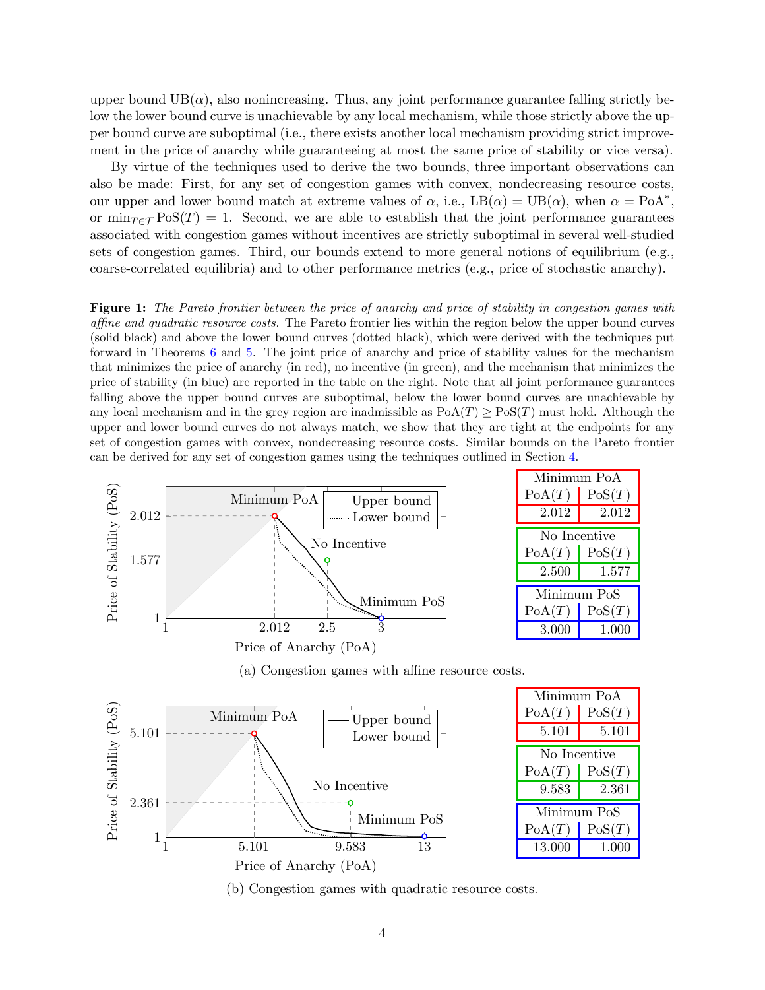upper bound  $UB(\alpha)$ , also nonincreasing. Thus, any joint performance guarantee falling strictly below the lower bound curve is unachievable by any local mechanism, while those strictly above the upper bound curve are suboptimal (i.e., there exists another local mechanism providing strict improvement in the price of anarchy while guaranteeing at most the same price of stability or vice versa).

By virtue of the techniques used to derive the two bounds, three important observations can also be made: First, for any set of congestion games with convex, nondecreasing resource costs, our upper and lower bound match at extreme values of  $\alpha$ , i.e.,  $LB(\alpha) = UB(\alpha)$ , when  $\alpha = PoA^*$ , or  $\min_{T \in \mathcal{T}} \text{PoS}(T) = 1$ . Second, we are able to establish that the joint performance guarantees associated with congestion games without incentives are strictly suboptimal in several well-studied sets of congestion games. Third, our bounds extend to more general notions of equilibrium (e.g., coarse-correlated equilibria) and to other performance metrics (e.g., price of stochastic anarchy).

<span id="page-3-0"></span>Figure 1: The Pareto frontier between the price of anarchy and price of stability in congestion games with affine and quadratic resource costs. The Pareto frontier lies within the region below the upper bound curves (solid black) and above the lower bound curves (dotted black), which were derived with the techniques put forward in Theorems [6](#page-11-0) and [5.](#page-10-0) The joint price of anarchy and price of stability values for the mechanism that minimizes the price of anarchy (in red), no incentive (in green), and the mechanism that minimizes the price of stability (in blue) are reported in the table on the right. Note that all joint performance guarantees falling above the upper bound curves are suboptimal, below the lower bound curves are unachievable by any local mechanism and in the grey region are inadmissible as  $PoA(T) \geq Pos(T)$  must hold. Although the upper and lower bound curves do not always match, we show that they are tight at the endpoints for any set of congestion games with convex, nondecreasing resource costs. Similar bounds on the Pareto frontier can be derived for any set of congestion games using the techniques outlined in Section [4.](#page-8-0)



(a) Congestion games with affine resource costs.



(b) Congestion games with quadratic resource costs.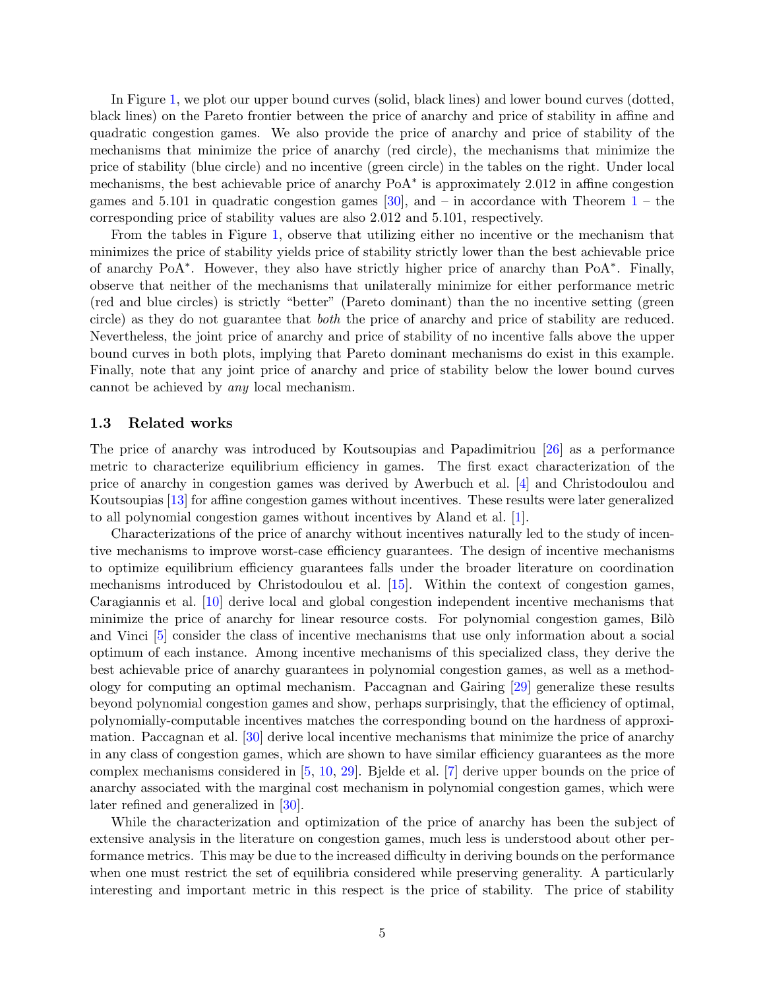In Figure [1,](#page-3-0) we plot our upper bound curves (solid, black lines) and lower bound curves (dotted, black lines) on the Pareto frontier between the price of anarchy and price of stability in affine and quadratic congestion games. We also provide the price of anarchy and price of stability of the mechanisms that minimize the price of anarchy (red circle), the mechanisms that minimize the price of stability (blue circle) and no incentive (green circle) in the tables on the right. Under local mechanisms, the best achievable price of anarchy PoA<sup>∗</sup> is approximately 2.012 in affine congestion games and 5.101 in quadratic congestion games [\[30\]](#page-17-5), and – in accordance with Theorem  $1$  – the corresponding price of stability values are also 2.012 and 5.101, respectively.

From the tables in Figure [1,](#page-3-0) observe that utilizing either no incentive or the mechanism that minimizes the price of stability yields price of stability strictly lower than the best achievable price of anarchy PoA<sup>∗</sup> . However, they also have strictly higher price of anarchy than PoA<sup>∗</sup> . Finally, observe that neither of the mechanisms that unilaterally minimize for either performance metric (red and blue circles) is strictly "better" (Pareto dominant) than the no incentive setting (green circle) as they do not guarantee that both the price of anarchy and price of stability are reduced. Nevertheless, the joint price of anarchy and price of stability of no incentive falls above the upper bound curves in both plots, implying that Pareto dominant mechanisms do exist in this example. Finally, note that any joint price of anarchy and price of stability below the lower bound curves cannot be achieved by any local mechanism.

#### 1.3 Related works

The price of anarchy was introduced by Koutsoupias and Papadimitriou [\[26](#page-17-4)] as a performance metric to characterize equilibrium efficiency in games. The first exact characterization of the price of anarchy in congestion games was derived by Awerbuch et al. [\[4](#page-16-6)] and Christodoulou and Koutsoupias [\[13](#page-16-7)] for affine congestion games without incentives. These results were later generalized to all polynomial congestion games without incentives by Aland et al. [\[1\]](#page-15-1).

Characterizations of the price of anarchy without incentives naturally led to the study of incentive mechanisms to improve worst-case efficiency guarantees. The design of incentive mechanisms to optimize equilibrium efficiency guarantees falls under the broader literature on coordination mechanisms introduced by Christodoulou et al. [\[15](#page-16-8)]. Within the context of congestion games, Caragiannis et al. [\[10](#page-16-4)] derive local and global congestion independent incentive mechanisms that minimize the price of anarchy for linear resource costs. For polynomial congestion games, Bilo and Vinci [\[5](#page-16-3)] consider the class of incentive mechanisms that use only information about a social optimum of each instance. Among incentive mechanisms of this specialized class, they derive the best achievable price of anarchy guarantees in polynomial congestion games, as well as a methodology for computing an optimal mechanism. Paccagnan and Gairing [\[29](#page-17-7)] generalize these results beyond polynomial congestion games and show, perhaps surprisingly, that the efficiency of optimal, polynomially-computable incentives matches the corresponding bound on the hardness of approximation. Paccagnan et al. [\[30\]](#page-17-5) derive local incentive mechanisms that minimize the price of anarchy in any class of congestion games, which are shown to have similar efficiency guarantees as the more complex mechanisms considered in [\[5](#page-16-3), [10](#page-16-4), [29\]](#page-17-7). Bjelde et al. [\[7\]](#page-16-9) derive upper bounds on the price of anarchy associated with the marginal cost mechanism in polynomial congestion games, which were later refined and generalized in [\[30](#page-17-5)].

While the characterization and optimization of the price of anarchy has been the subject of extensive analysis in the literature on congestion games, much less is understood about other performance metrics. This may be due to the increased difficulty in deriving bounds on the performance when one must restrict the set of equilibria considered while preserving generality. A particularly interesting and important metric in this respect is the price of stability. The price of stability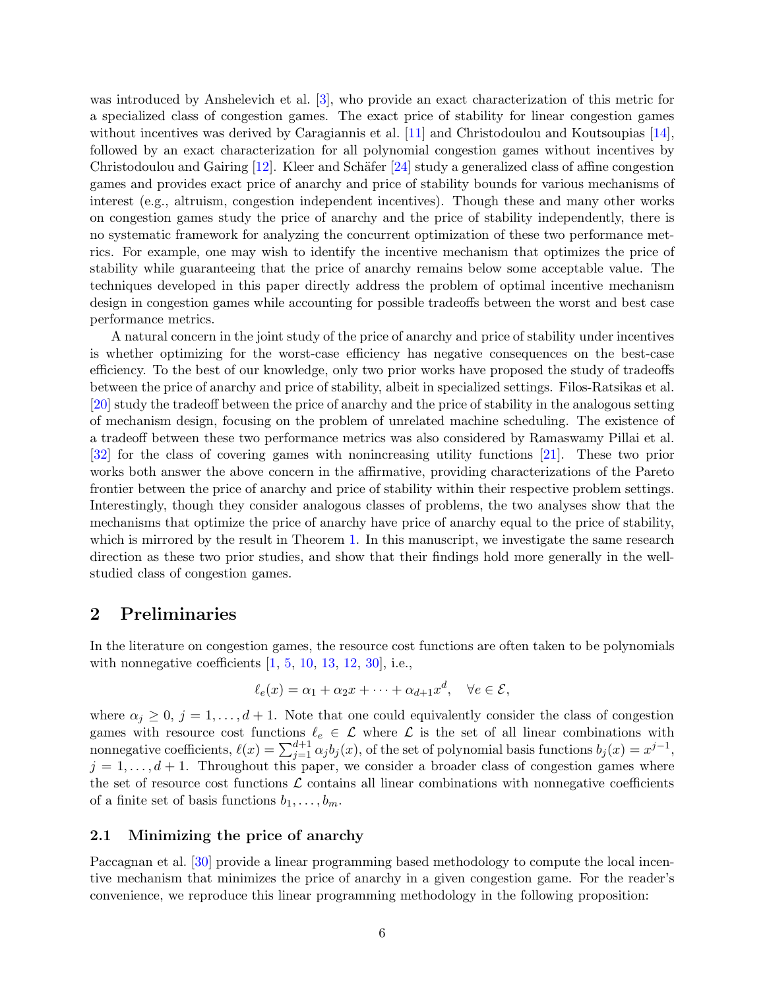was introduced by Anshelevich et al. [\[3](#page-15-0)], who provide an exact characterization of this metric for a specialized class of congestion games. The exact price of stability for linear congestion games without incentives was derived by Caragiannis et al. [\[11\]](#page-16-10) and Christodoulou and Koutsoupias [\[14\]](#page-16-11), followed by an exact characterization for all polynomial congestion games without incentives by Christodoulou and Gairing  $[12]$ . Kleer and Schäfer  $[24]$  study a generalized class of affine congestion games and provides exact price of anarchy and price of stability bounds for various mechanisms of interest (e.g., altruism, congestion independent incentives). Though these and many other works on congestion games study the price of anarchy and the price of stability independently, there is no systematic framework for analyzing the concurrent optimization of these two performance metrics. For example, one may wish to identify the incentive mechanism that optimizes the price of stability while guaranteeing that the price of anarchy remains below some acceptable value. The techniques developed in this paper directly address the problem of optimal incentive mechanism design in congestion games while accounting for possible tradeoffs between the worst and best case performance metrics.

A natural concern in the joint study of the price of anarchy and price of stability under incentives is whether optimizing for the worst-case efficiency has negative consequences on the best-case efficiency. To the best of our knowledge, only two prior works have proposed the study of tradeoffs between the price of anarchy and price of stability, albeit in specialized settings. Filos-Ratsikas et al. [\[20\]](#page-17-9) study the tradeoff between the price of anarchy and the price of stability in the analogous setting of mechanism design, focusing on the problem of unrelated machine scheduling. The existence of a tradeoff between these two performance metrics was also considered by Ramaswamy Pillai et al. [\[32\]](#page-17-10) for the class of covering games with nonincreasing utility functions [\[21](#page-17-11)]. These two prior works both answer the above concern in the affirmative, providing characterizations of the Pareto frontier between the price of anarchy and price of stability within their respective problem settings. Interestingly, though they consider analogous classes of problems, the two analyses show that the mechanisms that optimize the price of anarchy have price of anarchy equal to the price of stability, which is mirrored by the result in Theorem [1.](#page-2-0) In this manuscript, we investigate the same research direction as these two prior studies, and show that their findings hold more generally in the wellstudied class of congestion games.

### 2 Preliminaries

In the literature on congestion games, the resource cost functions are often taken to be polynomials with nonnegative coefficients  $[1, 5, 10, 13, 12, 30]$  $[1, 5, 10, 13, 12, 30]$  $[1, 5, 10, 13, 12, 30]$  $[1, 5, 10, 13, 12, 30]$  $[1, 5, 10, 13, 12, 30]$  $[1, 5, 10, 13, 12, 30]$  $[1, 5, 10, 13, 12, 30]$  $[1, 5, 10, 13, 12, 30]$  $[1, 5, 10, 13, 12, 30]$  $[1, 5, 10, 13, 12, 30]$  $[1, 5, 10, 13, 12, 30]$ , i.e.,

$$
\ell_e(x) = \alpha_1 + \alpha_2 x + \dots + \alpha_{d+1} x^d, \quad \forall e \in \mathcal{E},
$$

where  $\alpha_j \geq 0$ ,  $j = 1, \ldots, d + 1$ . Note that one could equivalently consider the class of congestion games with resource cost functions  $\ell_e \in \mathcal{L}$  where  $\mathcal{L}$  is the set of all linear combinations with nonnegative coefficients,  $\ell(x) = \sum_{j=1}^{d+1} \alpha_j b_j(x)$ , of the set of polynomial basis functions  $b_j(x) = x^{j-1}$ ,  $j = 1, \ldots, d + 1$ . Throughout this paper, we consider a broader class of congestion games where the set of resource cost functions  $\mathcal L$  contains all linear combinations with nonnegative coefficients of a finite set of basis functions  $b_1, \ldots, b_m$ .

#### 2.1 Minimizing the price of anarchy

Paccagnan et al. [\[30\]](#page-17-5) provide a linear programming based methodology to compute the local incentive mechanism that minimizes the price of anarchy in a given congestion game. For the reader's convenience, we reproduce this linear programming methodology in the following proposition: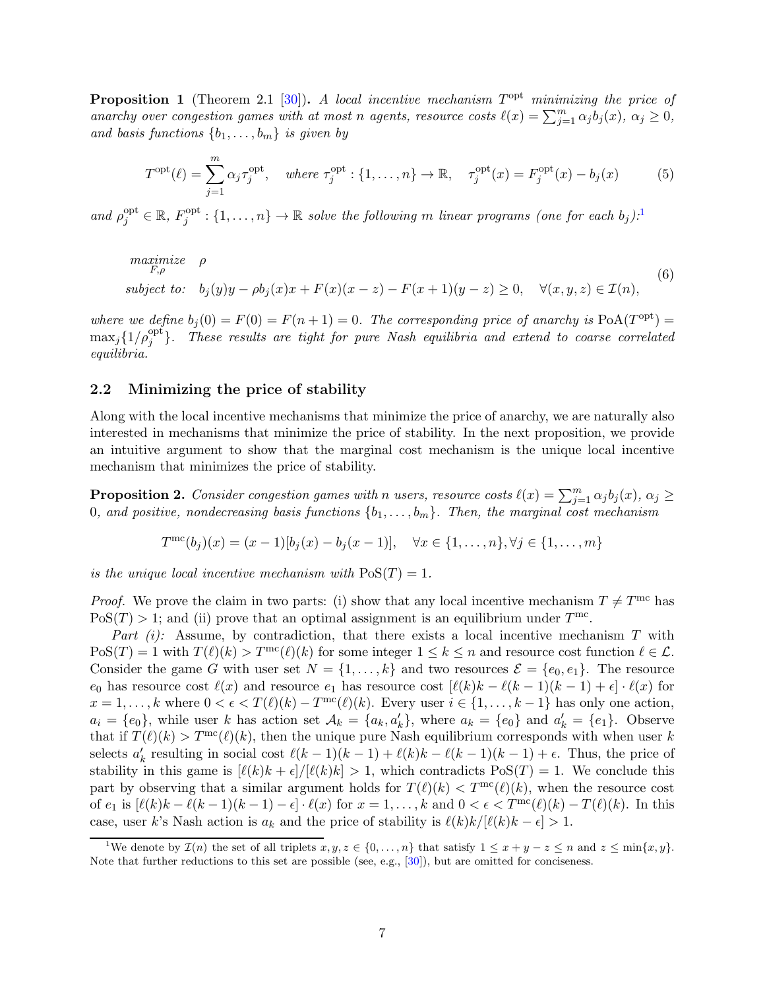<span id="page-6-3"></span><span id="page-6-1"></span>**Proposition 1** (Theorem 2.1 [\[30](#page-17-5)]). A local incentive mechanism  $T<sup>opt</sup>$  minimizing the price of anarchy over congestion games with at most n agents, resource costs  $\ell(x) = \sum_{j=1}^{m} \alpha_j b_j(x)$ ,  $\alpha_j \geq 0$ , and basis functions  $\{b_1, \ldots, b_m\}$  is given by

$$
T^{\text{opt}}(\ell) = \sum_{j=1}^{m} \alpha_j \tau_j^{\text{opt}}, \quad \text{where } \tau_j^{\text{opt}} : \{1, \dots, n\} \to \mathbb{R}, \quad \tau_j^{\text{opt}}(x) = F_j^{\text{opt}}(x) - b_j(x) \tag{5}
$$

<span id="page-6-2"></span>and  $\rho_j^{\text{opt}} \in \mathbb{R}, F_j^{\text{opt}}$  $j^{opt}:\{1,\ldots,n\}\to\mathbb{R}$  $j^{opt}:\{1,\ldots,n\}\to\mathbb{R}$  $j^{opt}:\{1,\ldots,n\}\to\mathbb{R}$  solve the following m linear programs (one for each  $b_j$ ).<sup>1</sup>

$$
\begin{array}{ll}\n\text{maximize} & \rho \\
\text{subject to:} & b_j(y)y - \rho b_j(x)x + F(x)(x - z) - F(x + 1)(y - z) \ge 0, \quad \forall (x, y, z) \in \mathcal{I}(n),\n\end{array} \tag{6}
$$

where we define  $b_j(0) = F(0) = F(n+1) = 0$ . The corresponding price of anarchy is  $PoA(T^{opt}) =$  $\max_j \{1/\rho_j^{\rm opt}\}.$  These results are tight for pure Nash equilibria and extend to coarse correlated equilibria.

#### 2.2 Minimizing the price of stability

Along with the local incentive mechanisms that minimize the price of anarchy, we are naturally also interested in mechanisms that minimize the price of stability. In the next proposition, we provide an intuitive argument to show that the marginal cost mechanism is the unique local incentive mechanism that minimizes the price of stability.

**Proposition 2.** Consider congestion games with n users, resource costs  $\ell(x) = \sum_{j=1}^{m} \alpha_j b_j(x)$ ,  $\alpha_j \geq$ 0, and positive, nondecreasing basis functions  $\{b_1, \ldots, b_m\}$ . Then, the marginal cost mechanism

 $T^{\text{mc}}(b_j)(x) = (x-1)[b_j(x) - b_j(x-1)], \quad \forall x \in \{1, ..., n\}, \forall j \in \{1, ..., m\}$ 

is the unique local incentive mechanism with  $\text{PoS}(T) = 1$ .

*Proof.* We prove the claim in two parts: (i) show that any local incentive mechanism  $T \neq T^{\text{mc}}$  has  $PoS(T) > 1$ ; and (ii) prove that an optimal assignment is an equilibrium under  $T^{\text{mc}}$ .

Part (i): Assume, by contradiction, that there exists a local incentive mechanism  $T$  with  $\text{PoS}(T) = 1$  with  $T(\ell)(k) > T^{\text{mc}}(\ell)(k)$  for some integer  $1 \leq k \leq n$  and resource cost function  $\ell \in \mathcal{L}$ . Consider the game G with user set  $N = \{1, \ldots, k\}$  and two resources  $\mathcal{E} = \{e_0, e_1\}$ . The resource  $e_0$  has resource cost  $\ell(x)$  and resource  $e_1$  has resource cost  $[\ell(k)k - \ell(k-1)(k-1) + \epsilon] \cdot \ell(x)$  for  $x = 1, \ldots, k$  where  $0 < \epsilon < T(\ell)(k) - T^{\text{mc}}(\ell)(k)$ . Every user  $i \in \{1, \ldots, k-1\}$  has only one action,  $a_i = \{e_0\}$ , while user k has action set  $\mathcal{A}_k = \{a_k, a'_k\}$ , where  $a_k = \{e_0\}$  and  $a'_k = \{e_1\}$ . Observe that if  $T(\ell)(k) > T^{\text{mc}}(\ell)(k)$ , then the unique pure Nash equilibrium corresponds with when user k selects  $a'_k$  resulting in social cost  $\ell(k-1)(k-1) + \ell(k)k - \ell(k-1)(k-1) + \epsilon$ . Thus, the price of stability in this game is  $\left[\ell(k)k + \epsilon\right] / \left[\ell(k)k\right] > 1$ , which contradicts  $\text{PoS}(T) = 1$ . We conclude this part by observing that a similar argument holds for  $T(\ell)(k) < T^{\text{mc}}(\ell)(k)$ , when the resource cost of  $e_1$  is  $[\ell(k)k - \ell(k-1)(k-1) - \epsilon] \cdot \ell(x)$  for  $x = 1, \ldots, k$  and  $0 < \epsilon < T^{\text{mc}}(\ell)(k) - T(\ell)(k)$ . In this case, user k's Nash action is  $a_k$  and the price of stability is  $\ell(k)k/[\ell(k)k - \epsilon] > 1$ .

<span id="page-6-0"></span><sup>&</sup>lt;sup>1</sup>We denote by  $\mathcal{I}(n)$  the set of all triplets  $x, y, z \in \{0, ..., n\}$  that satisfy  $1 \leq x + y - z \leq n$  and  $z \leq \min\{x, y\}$ . Note that further reductions to this set are possible (see, e.g., [\[30\]](#page-17-5)), but are omitted for conciseness.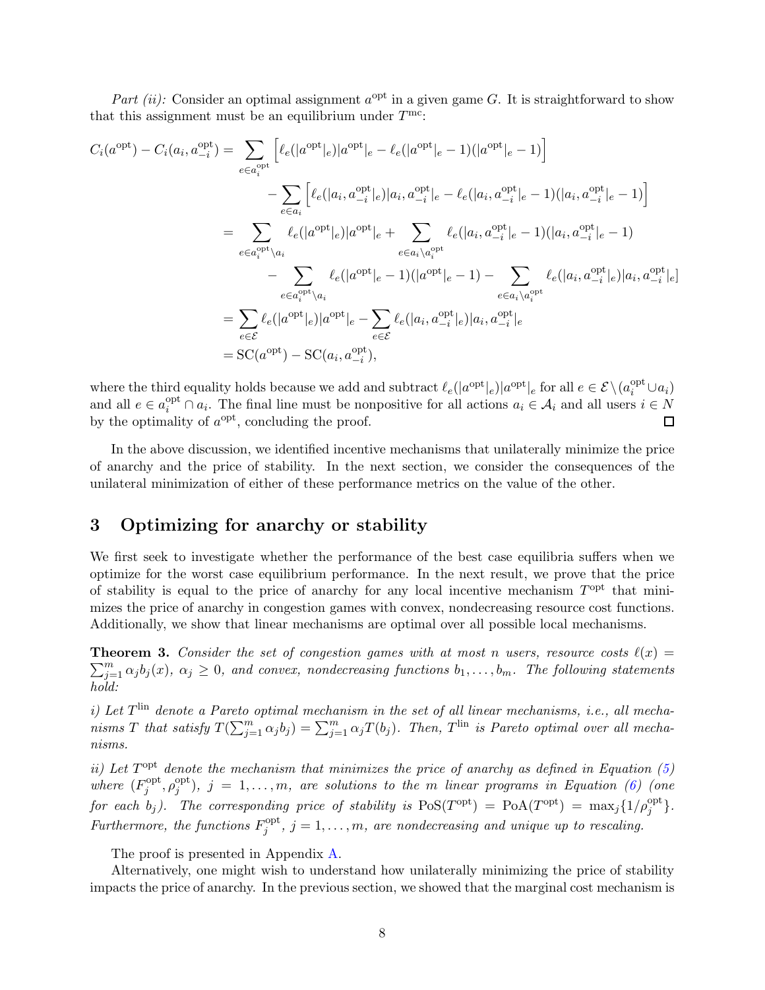Part (ii): Consider an optimal assignment  $a^{\text{opt}}$  in a given game G. It is straightforward to show that this assignment must be an equilibrium under  $T^{\text{mc}}$ :

$$
C_i(a^{\text{opt}}) - C_i(a_i, a_{-i}^{\text{opt}}) = \sum_{e \in a_i^{\text{opt}}} \left[ \ell_e(|a^{\text{opt}}|_e)|a^{\text{opt}}|_e - \ell_e(|a^{\text{opt}}|_e - 1)(|a^{\text{opt}}|_e - 1) \right]
$$
  

$$
- \sum_{e \in a_i} \left[ \ell_e(|a_i, a_{-i}^{\text{opt}}|_e)|a_i, a_{-i}^{\text{opt}}|_e - \ell_e(|a_i, a_{-i}^{\text{opt}}|_e - 1)(|a_i, a_{-i}^{\text{opt}}|_e - 1) \right]
$$
  

$$
= \sum_{e \in a_i^{\text{opt}} \setminus a_i} \ell_e(|a^{\text{opt}}|_e)|a^{\text{opt}}|_e + \sum_{e \in a_i \setminus a_i^{\text{opt}}} \ell_e(|a_i, a_{-i}^{\text{opt}}|_e - 1)(|a_i, a_{-i}^{\text{opt}}|_e - 1)
$$
  

$$
- \sum_{e \in a_i^{\text{opt}} \setminus a_i} \ell_e(|a^{\text{opt}}|_e - 1)(|a^{\text{opt}}|_e - 1) - \sum_{e \in a_i \setminus a_i^{\text{opt}}} \ell_e(|a_i, a_{-i}^{\text{opt}}|_e)|a_i, a_{-i}^{\text{opt}}|_e)|a_i, a_{-i}^{\text{opt}}|_e]
$$
  

$$
= \sum_{e \in \mathcal{E}} \ell_e(|a^{\text{opt}}|_e)|a^{\text{opt}}|_e - \sum_{e \in \mathcal{E}} \ell_e(|a_i, a_{-i}^{\text{opt}}|_e)|a_i, a_{-i}^{\text{opt}}|_e
$$
  

$$
= \text{SC}(a^{\text{opt}}) - \text{SC}(a_i, a_{-i}^{\text{opt}}),
$$

where the third equality holds because we add and subtract  $\ell_e(|a^{\text{opt}}|_e)|a^{\text{opt}}|_e$  for all  $e \in \mathcal{E} \setminus (a_i^{\text{opt}} \cup a_i)$ and all  $e \in a_i^{\text{opt}} \cap a_i$ . The final line must be nonpositive for all actions  $a_i \in \mathcal{A}_i$  and all users  $i \in N$ by the optimality of  $a^{\text{opt}}$ , concluding the proof.  $\Box$ 

In the above discussion, we identified incentive mechanisms that unilaterally minimize the price of anarchy and the price of stability. In the next section, we consider the consequences of the unilateral minimization of either of these performance metrics on the value of the other.

# 3 Optimizing for anarchy or stability

We first seek to investigate whether the performance of the best case equilibria suffers when we optimize for the worst case equilibrium performance. In the next result, we prove that the price of stability is equal to the price of anarchy for any local incentive mechanism  $T<sup>opt</sup>$  that minimizes the price of anarchy in congestion games with convex, nondecreasing resource cost functions. Additionally, we show that linear mechanisms are optimal over all possible local mechanisms.

<span id="page-7-0"></span>**Theorem 3.** Consider the set of congestion games with at most n users, resource costs  $\ell(x)$  =  $\sum_{j=1}^{m} \alpha_j b_j(x)$ ,  $\alpha_j \geq 0$ , and convex, nondecreasing functions  $b_1, \ldots, b_m$ . The following statements hold:

i) Let  $T^{\text{lin}}$  denote a Pareto optimal mechanism in the set of all linear mechanisms, i.e., all mechanisms T that satisfy  $T(\sum_{j=1}^m \alpha_j b_j) = \sum_{j=1}^m \alpha_j T(b_j)$ . Then, T<sup> $\text{lin}$ </sup> is Pareto optimal over all mechanisms.

ii) Let  $T<sup>opt</sup>$  denote the mechanism that minimizes the price of anarchy as defined in Equation [\(5\)](#page-6-1) where  $(F_i^{\text{opt}})$  $j^{\text{opt}}, \rho_j^{\text{opt}}$  $j_j^{opt}$ ),  $j~=~1,\ldots,m,$  are solutions to the  $m$  linear programs in Equation [\(6\)](#page-6-2) (one for each  $b_j$ ). The corresponding price of stability is  $\text{PoS}(T^{\text{opt}}) = \text{PoA}(T^{\text{opt}}) = \max_j \{1/\rho_j^{\text{opt}}\}.$ Furthermore, the functions  $F_i^{\text{opt}}$  $j^{opt}$ ,  $j = 1, \ldots, m$ , are nondecreasing and unique up to rescaling.

The proof is presented in Appendix [A.](#page-18-0)

Alternatively, one might wish to understand how unilaterally minimizing the price of stability impacts the price of anarchy. In the previous section, we showed that the marginal cost mechanism is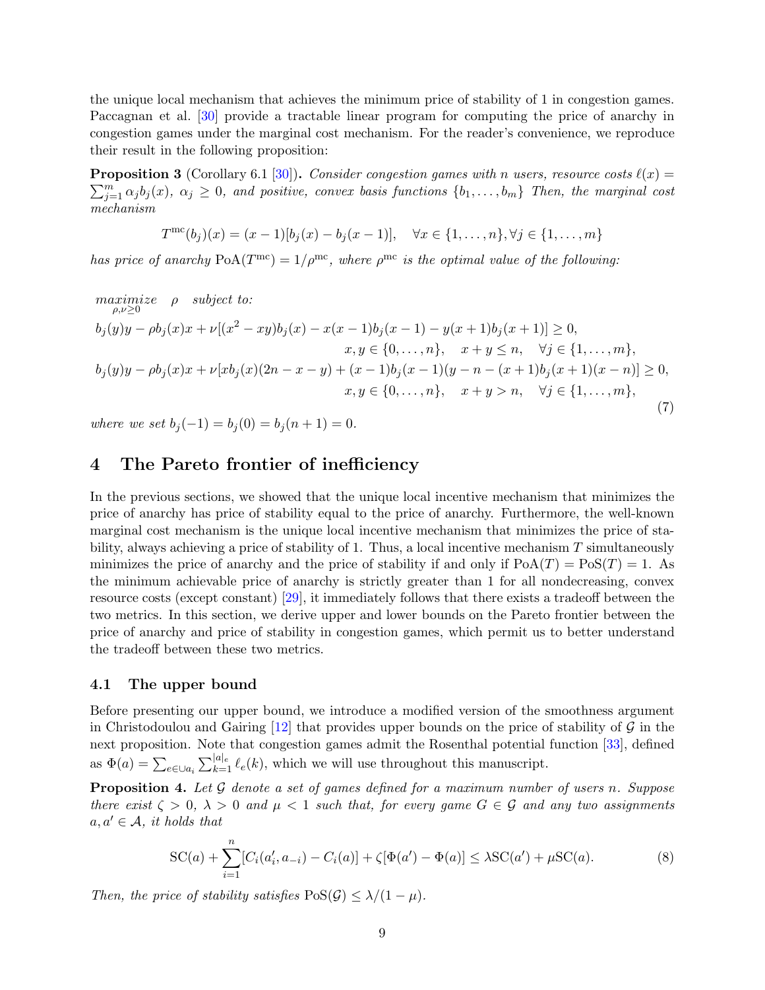the unique local mechanism that achieves the minimum price of stability of 1 in congestion games. Paccagnan et al. [\[30\]](#page-17-5) provide a tractable linear program for computing the price of anarchy in congestion games under the marginal cost mechanism. For the reader's convenience, we reproduce their result in the following proposition:

**Proposition 3** (Corollary 6.1 [\[30](#page-17-5)]). Consider congestion games with n users, resource costs  $\ell(x)$  =  $\sum_{j=1}^{m} \alpha_j b_j(x)$ ,  $\alpha_j \geq 0$ , and positive, convex basis functions  $\{b_1, \ldots, b_m\}$  Then, the marginal cost mechanism

$$
T^{\text{mc}}(b_j)(x) = (x-1)[b_j(x) - b_j(x-1)], \quad \forall x \in \{1, ..., n\}, \forall j \in \{1, ..., m\}
$$

has price of anarchy  $PoA(T^{mc}) = 1/\rho^{mc}$ , where  $\rho^{mc}$  is the optimal value of the following:

 $\begin{array}{ll}\text{maximize} & \rho & \text{subject to:}\ \rho, \nu \geq 0\end{array}$  $b_j(y)y - \rho b_j(x)x + \nu[(x^2 - xy)b_j(x) - x(x-1)b_j(x-1) - y(x+1)b_j(x+1)] \ge 0,$  $x, y \in \{0, \ldots, n\}, \quad x + y \leq n, \quad \forall j \in \{1, \ldots, m\},\$  $b_j(y)y - \rho b_j(x)x + \nu [xb_j(x)(2n - x - y) + (x - 1)b_j(x - 1)(y - n - (x + 1)b_j(x + 1)(x - n)] \ge 0,$  $x, y \in \{0, \ldots, n\}, \quad x + y > n, \quad \forall j \in \{1, \ldots, m\},\$ (7)

where we set  $b_j(-1) = b_j(0) = b_j(n + 1) = 0$ .

### <span id="page-8-0"></span>4 The Pareto frontier of inefficiency

In the previous sections, we showed that the unique local incentive mechanism that minimizes the price of anarchy has price of stability equal to the price of anarchy. Furthermore, the well-known marginal cost mechanism is the unique local incentive mechanism that minimizes the price of stability, always achieving a price of stability of 1. Thus, a local incentive mechanism  $T$  simultaneously minimizes the price of anarchy and the price of stability if and only if  $PoA(T) = PoS(T) = 1$ . As the minimum achievable price of anarchy is strictly greater than 1 for all nondecreasing, convex resource costs (except constant) [\[29](#page-17-7)], it immediately follows that there exists a tradeoff between the two metrics. In this section, we derive upper and lower bounds on the Pareto frontier between the price of anarchy and price of stability in congestion games, which permit us to better understand the tradeoff between these two metrics.

#### <span id="page-8-3"></span>4.1 The upper bound

Before presenting our upper bound, we introduce a modified version of the smoothness argument in Christodoulou and Gairing  $[12]$  that provides upper bounds on the price of stability of  $\mathcal G$  in the next proposition. Note that congestion games admit the Rosenthal potential function [\[33](#page-17-3)], defined as  $\Phi(a) = \sum_{e \in \bigcup a_i} \sum_{k=1}^{|a|_e} \ell_e(k)$ , which we will use throughout this manuscript.

<span id="page-8-2"></span>**Proposition 4.** Let  $\mathcal G$  denote a set of games defined for a maximum number of users n. Suppose there exist  $\zeta > 0$ ,  $\lambda > 0$  and  $\mu < 1$  such that, for every game  $G \in \mathcal{G}$  and any two assignments  $a, a' \in \mathcal{A}$ , it holds that

<span id="page-8-1"></span>
$$
SC(a) + \sum_{i=1}^{n} [C_i(a'_i, a_{-i}) - C_i(a)] + \zeta[\Phi(a') - \Phi(a)] \leq \lambda SC(a') + \mu SC(a). \tag{8}
$$

Then, the price of stability satisfies  $\text{PoS}(\mathcal{G}) \leq \lambda/(1-\mu)$ .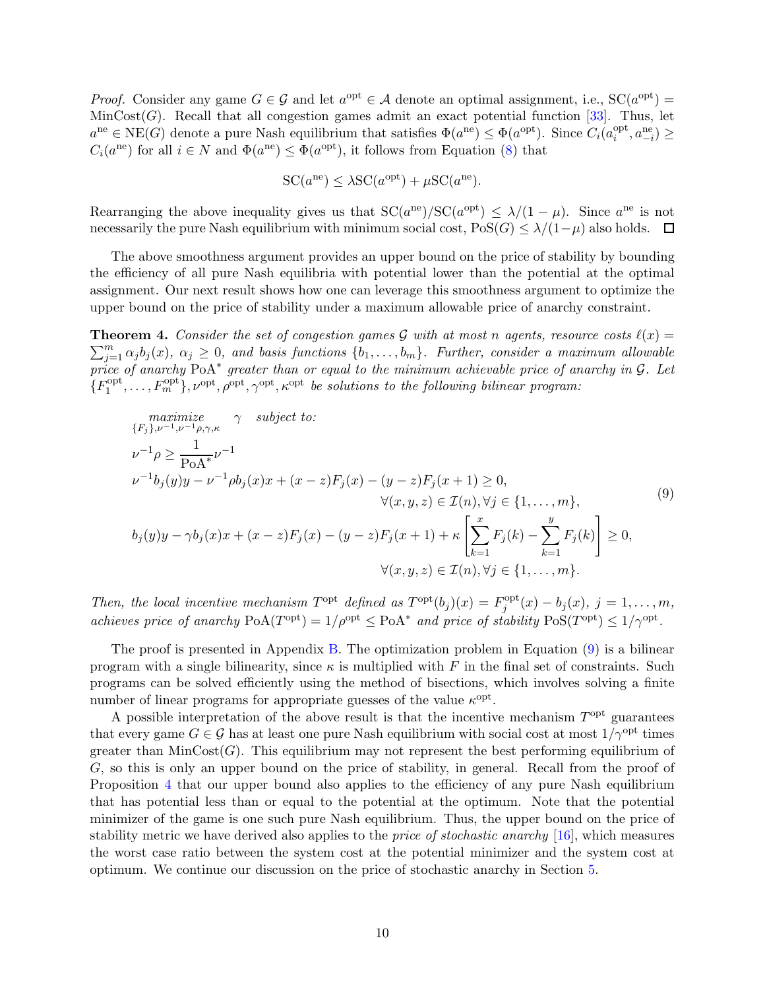*Proof.* Consider any game  $G \in \mathcal{G}$  and let  $a^{\text{opt}} \in \mathcal{A}$  denote an optimal assignment, i.e.,  $SC(a^{\text{opt}})$  $MinCost(G)$ . Recall that all congestion games admit an exact potential function [\[33](#page-17-3)]. Thus, let  $a^{ne} \in \text{NE}(G)$  denote a pure Nash equilibrium that satisfies  $\Phi(a^{ne}) \leq \Phi(a^{opt})$ . Since  $C_i(a_i^{opt})$  $a_{i}^{\text{opt}}, a_{-i}^{\text{ne}}$  $\geq$  $C_i(a^{ne})$  for all  $i \in N$  and  $\Phi(a^{ne}) \leq \Phi(a^{opt})$ , it follows from Equation [\(8\)](#page-8-1) that

<span id="page-9-1"></span>
$$
SC(a^{ne}) \leq \lambda SC(a^{opt}) + \mu SC(a^{ne}).
$$

Rearranging the above inequality gives us that  $SC(a^{ne})/SC(a^{opt}) \leq \lambda/(1-\mu)$ . Since  $a^{ne}$  is not necessarily the pure Nash equilibrium with minimum social cost,  $\text{PoS}(G) \leq \lambda/(1-\mu)$  also holds.  $\Box$ 

The above smoothness argument provides an upper bound on the price of stability by bounding the efficiency of all pure Nash equilibria with potential lower than the potential at the optimal assignment. Our next result shows how one can leverage this smoothness argument to optimize the upper bound on the price of stability under a maximum allowable price of anarchy constraint.

<span id="page-9-0"></span>**Theorem 4.** Consider the set of congestion games G with at most n agents, resource costs  $\ell(x)$  =  $\sum_{j=1}^{m} \alpha_j b_j(x)$ ,  $\alpha_j \geq 0$ , and basis functions  $\{b_1, \ldots, b_m\}$ . Further, consider a maximum allowable price of anarchy PoA<sup>\*</sup> greater than or equal to the minimum achievable price of anarchy in G. Let  $\{F_1^{\text{opt}}\}$  $I_1^{\text{opt}}, \ldots, F_m^{\text{opt}}, \nu^{\text{opt}}, \rho^{\text{opt}}, \gamma^{\text{opt}}, \kappa^{\text{opt}}$  be solutions to the following bilinear program:

$$
\begin{aligned}\n\maximize & \gamma \quad subject \ to: \\
\{F_j\}_{\nu} & \sim 1_{\rho} \ge \frac{1}{\text{PoA}^*} \nu^{-1} \\
\nu^{-1} & \rho \ge \frac{1}{\text{PoA}^*} \nu^{-1} \\
\nu^{-1} & \rho_j(y)y - \nu^{-1} \rho b_j(x)x + (x - z)F_j(x) - (y - z)F_j(x + 1) \ge 0, \\
&\quad \forall (x, y, z) \in \mathcal{I}(n), \forall j \in \{1, ..., m\}, \\
b_j(y)y - \gamma b_j(x)x + (x - z)F_j(x) - (y - z)F_j(x + 1) + \kappa \left[ \sum_{k=1}^x F_j(k) - \sum_{k=1}^y F_j(k) \right] \ge 0, \\
&\quad \forall (x, y, z) \in \mathcal{I}(n), \forall j \in \{1, ..., m\}.\n\end{aligned}
$$
\n(9)

Then, the local incentive mechanism  $T^{\text{opt}}$  defined as  $T^{\text{opt}}(b_j)(x) = F_j^{\text{opt}}$  $j_j^{\text{opt}}(x) - b_j(x), j = 1, \ldots, m,$ achieves price of anarchy  $PoA(T^{opt}) = 1/\rho^{opt} \leq PoA^*$  and price of stability  $Pos(T^{opt}) \leq 1/\gamma^{opt}$ .

The proof is presented in Appendix [B.](#page-19-0) The optimization problem in Equation [\(9\)](#page-9-1) is a bilinear program with a single bilinearity, since  $\kappa$  is multiplied with F in the final set of constraints. Such programs can be solved efficiently using the method of bisections, which involves solving a finite number of linear programs for appropriate guesses of the value  $\kappa^{\text{opt}}$ .

A possible interpretation of the above result is that the incentive mechanism  $T<sup>opt</sup>$  guarantees that every game  $G \in \mathcal{G}$  has at least one pure Nash equilibrium with social cost at most  $1/\gamma^{\text{opt}}$  times greater than  $MinCost(G)$ . This equilibrium may not represent the best performing equilibrium of G, so this is only an upper bound on the price of stability, in general. Recall from the proof of Proposition [4](#page-8-2) that our upper bound also applies to the efficiency of any pure Nash equilibrium that has potential less than or equal to the potential at the optimum. Note that the potential minimizer of the game is one such pure Nash equilibrium. Thus, the upper bound on the price of stability metric we have derived also applies to the price of stochastic anarchy [\[16\]](#page-16-12), which measures the worst case ratio between the system cost at the potential minimizer and the system cost at optimum. We continue our discussion on the price of stochastic anarchy in Section [5.](#page-13-0)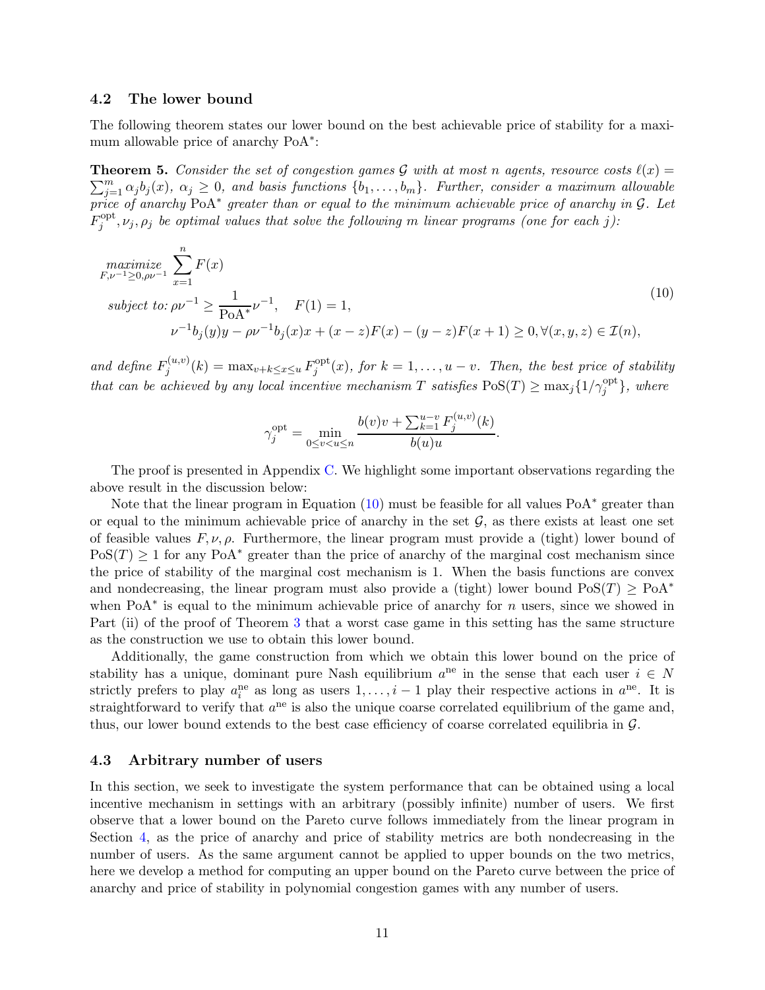#### 4.2 The lower bound

The following theorem states our lower bound on the best achievable price of stability for a maximum allowable price of anarchy PoA<sup>\*</sup>:

<span id="page-10-0"></span>**Theorem 5.** Consider the set of congestion games G with at most n agents, resource costs  $\ell(x)$  =  $\sum_{j=1}^{m} \alpha_j b_j(x)$ ,  $\alpha_j \geq 0$ , and basis functions  $\{b_1, \ldots, b_m\}$ . Further, consider a maximum allowable price of anarchy PoA<sup>\*</sup> greater than or equal to the minimum achievable price of anarchy in G. Let  $F^{\rm opt}_i$  $j^{opt}, \nu_j, \rho_j$  be optimal values that solve the following m linear programs (one for each j):

$$
\begin{aligned}\n\text{maximize}_{F,\nu^{-1}\geq 0,\rho\nu^{-1}} & \sum_{x=1}^{n} F(x) \\
\text{subject to: } & \rho\nu^{-1} \geq \frac{1}{\text{PoA}^*} \nu^{-1}, \quad F(1) = 1, \\
& \nu^{-1} b_j(y) y - \rho \nu^{-1} b_j(x) x + (x-z) F(x) - (y-z) F(x+1) \geq 0, \forall (x, y, z) \in \mathcal{I}(n),\n\end{aligned} \tag{10}
$$

and define  $F_i^{(u,v)}$  $j^{(u,v)}(k) = \max_{v+k \leq x \leq u} F_j^{\text{opt}}$  $j^{opt}(x)$ , for  $k = 1, \ldots, u - v$ . Then, the best price of stability that can be achieved by any local incentive mechanism T satisfies  $\text{PoS}(T) \ge \max_j \{1/\gamma_j^{\text{opt}}\},\$  where

<span id="page-10-1"></span>
$$
\gamma_j^{\text{opt}} = \min_{0 \le v < u \le n} \frac{b(v)v + \sum_{k=1}^{u-v} F_j^{(u,v)}(k)}{b(u)u}.
$$

The proof is presented in Appendix [C.](#page-20-0) We highlight some important observations regarding the above result in the discussion below:

Note that the linear program in Equation [\(10\)](#page-10-1) must be feasible for all values PoA<sup>\*</sup> greater than or equal to the minimum achievable price of anarchy in the set  $\mathcal{G}$ , as there exists at least one set of feasible values  $F, \nu, \rho$ . Furthermore, the linear program must provide a (tight) lower bound of  $PoS(T) \geq 1$  for any PoA<sup>\*</sup> greater than the price of anarchy of the marginal cost mechanism since the price of stability of the marginal cost mechanism is 1. When the basis functions are convex and nondecreasing, the linear program must also provide a (tight) lower bound  $\text{PoS}(T) \ge \text{PoA}^*$ when PoA<sup>\*</sup> is equal to the minimum achievable price of anarchy for  $n$  users, since we showed in Part (ii) of the proof of Theorem [3](#page-7-0) that a worst case game in this setting has the same structure as the construction we use to obtain this lower bound.

Additionally, the game construction from which we obtain this lower bound on the price of stability has a unique, dominant pure Nash equilibrium  $a^{ne}$  in the sense that each user  $i \in N$ strictly prefers to play  $a_i^{\text{ne}}$  as long as users  $1, \ldots, i-1$  play their respective actions in  $a^{\text{ne}}$ . It is straightforward to verify that  $a^{ne}$  is also the unique coarse correlated equilibrium of the game and, thus, our lower bound extends to the best case efficiency of coarse correlated equilibria in G.

#### <span id="page-10-2"></span>4.3 Arbitrary number of users

In this section, we seek to investigate the system performance that can be obtained using a local incentive mechanism in settings with an arbitrary (possibly infinite) number of users. We first observe that a lower bound on the Pareto curve follows immediately from the linear program in Section [4,](#page-8-0) as the price of anarchy and price of stability metrics are both nondecreasing in the number of users. As the same argument cannot be applied to upper bounds on the two metrics, here we develop a method for computing an upper bound on the Pareto curve between the price of anarchy and price of stability in polynomial congestion games with any number of users.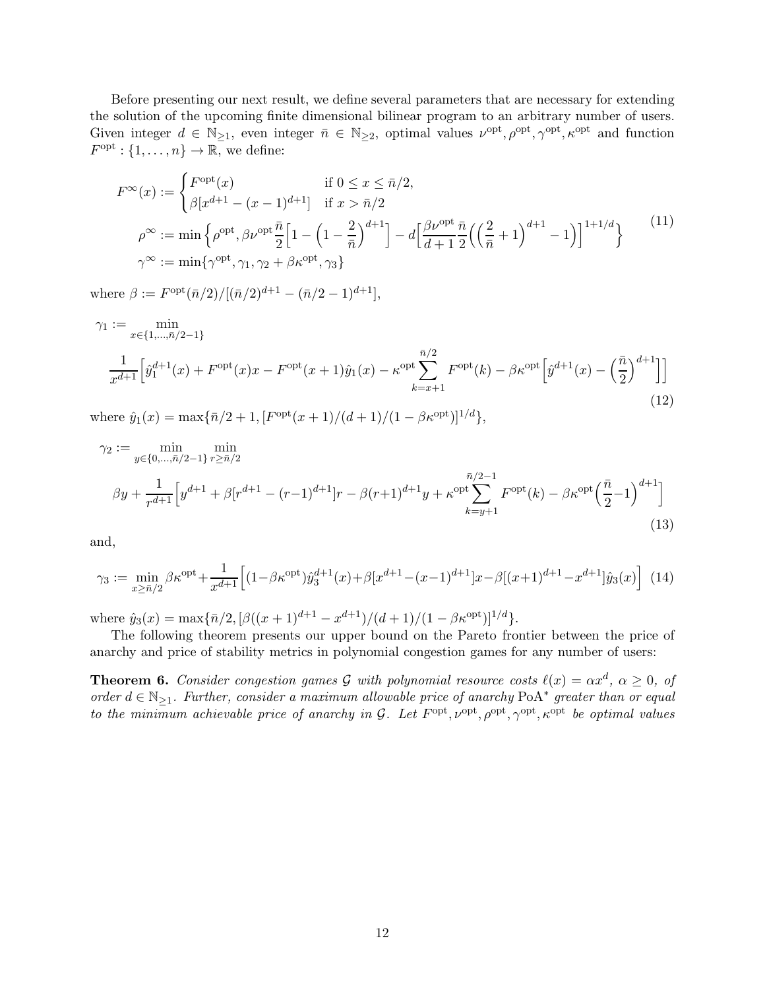Before presenting our next result, we define several parameters that are necessary for extending the solution of the upcoming finite dimensional bilinear program to an arbitrary number of users. Given integer  $d \in \mathbb{N}_{\geq 1}$ , even integer  $\bar{n} \in \mathbb{N}_{\geq 2}$ , optimal values  $\nu^{\text{opt}}, \rho^{\text{opt}}, \gamma^{\text{opt}}, \kappa^{\text{opt}}$  and function  $F^{\text{opt}}: \{1, \ldots, n\} \to \overline{\mathbb{R},}$  we define:

<span id="page-11-2"></span><span id="page-11-1"></span>
$$
F^{\infty}(x) := \begin{cases} F^{\text{opt}}(x) & \text{if } 0 \le x \le \bar{n}/2, \\ \beta[x^{d+1} - (x-1)^{d+1}] & \text{if } x > \bar{n}/2 \end{cases}
$$
\n
$$
\rho^{\infty} := \min \left\{ \rho^{\text{opt}}, \beta \nu^{\text{opt}} \frac{\bar{n}}{2} \left[ 1 - \left( 1 - \frac{2}{\bar{n}} \right)^{d+1} \right] - d \left[ \frac{\beta \nu^{\text{opt}}}{d+1} \frac{\bar{n}}{2} \left( \left( \frac{2}{\bar{n}} + 1 \right)^{d+1} - 1 \right) \right]^{1+1/d} \right\} \tag{11}
$$
\n
$$
\gamma^{\infty} := \min \{ \gamma^{\text{opt}}, \gamma_1, \gamma_2 + \beta \kappa^{\text{opt}}, \gamma_3 \}
$$

where  $\beta := F^{opt}(\bar{n}/2)/[(\bar{n}/2)^{d+1} - (\bar{n}/2 - 1)^{d+1}],$ 

$$
\gamma_1 := \min_{x \in \{1, \dots, \bar{n}/2 - 1\}} \min_{\substack{\bar{n}/2 \\ \bar{x}^{d+1}}} \left[ \hat{y}_1^{d+1}(x) + F^{\text{opt}}(x)x - F^{\text{opt}}(x+1)\hat{y}_1(x) - \kappa^{\text{opt}} \sum_{k=x+1}^{\bar{n}/2} F^{\text{opt}}(k) - \beta \kappa^{\text{opt}} \left[ \hat{y}^{d+1}(x) - \left( \frac{\bar{n}}{2} \right)^{d+1} \right] \right]
$$
\n(12)

where  $\hat{y}_1(x) = \max{\{\bar{n}/2 + 1, [F^{\text{opt}}(x+1)/(d+1)/(1-\beta \kappa^{\text{opt}})]^{1/d}\}},$ 

<span id="page-11-4"></span>
$$
\gamma_2 := \min_{y \in \{0, \dots, \bar{n}/2 - 1\}} \min_{r \ge \bar{n}/2} \min_{r \ge \bar{n}/2} \left[ y^{d+1} + \beta [r^{d+1} - (r-1)^{d+1}]r - \beta (r+1)^{d+1} y + \kappa^{\text{opt}} \sum_{k=y+1}^{\bar{n}/2 - 1} F^{\text{opt}}(k) - \beta \kappa^{\text{opt}} \left( \frac{\bar{n}}{2} - 1 \right)^{d+1} \right]
$$
\n(13)

<span id="page-11-3"></span>and,

$$
\gamma_3 := \min_{x \ge \bar{n}/2} \beta \kappa^{\text{opt}} + \frac{1}{x^{d+1}} \Big[ (1 - \beta \kappa^{\text{opt}}) \hat{y}_3^{d+1}(x) + \beta [x^{d+1} - (x-1)^{d+1}] x - \beta [(x+1)^{d+1} - x^{d+1}] \hat{y}_3(x) \Big] \tag{14}
$$

where  $\hat{y}_3(x) = \max{\{\bar{n}/2, [\beta((x+1)^{d+1} - x^{d+1})/(d+1)/(1 - \beta \kappa^{\text{opt}})]^{1/d}\}}.$ 

The following theorem presents our upper bound on the Pareto frontier between the price of anarchy and price of stability metrics in polynomial congestion games for any number of users:

<span id="page-11-0"></span>**Theorem 6.** Consider congestion games G with polynomial resource costs  $\ell(x) = \alpha x^d$ ,  $\alpha \geq 0$ , of order  $d \in \mathbb{N}_{\geq 1}$ . Further, consider a maximum allowable price of anarchy PoA<sup>\*</sup> greater than or equal to the minimum achievable price of anarchy in G. Let  $F^{\text{opt}}, \nu^{\text{opt}}, \rho^{\text{opt}}, \gamma^{\text{opt}}, \kappa^{\text{opt}}$  be optimal values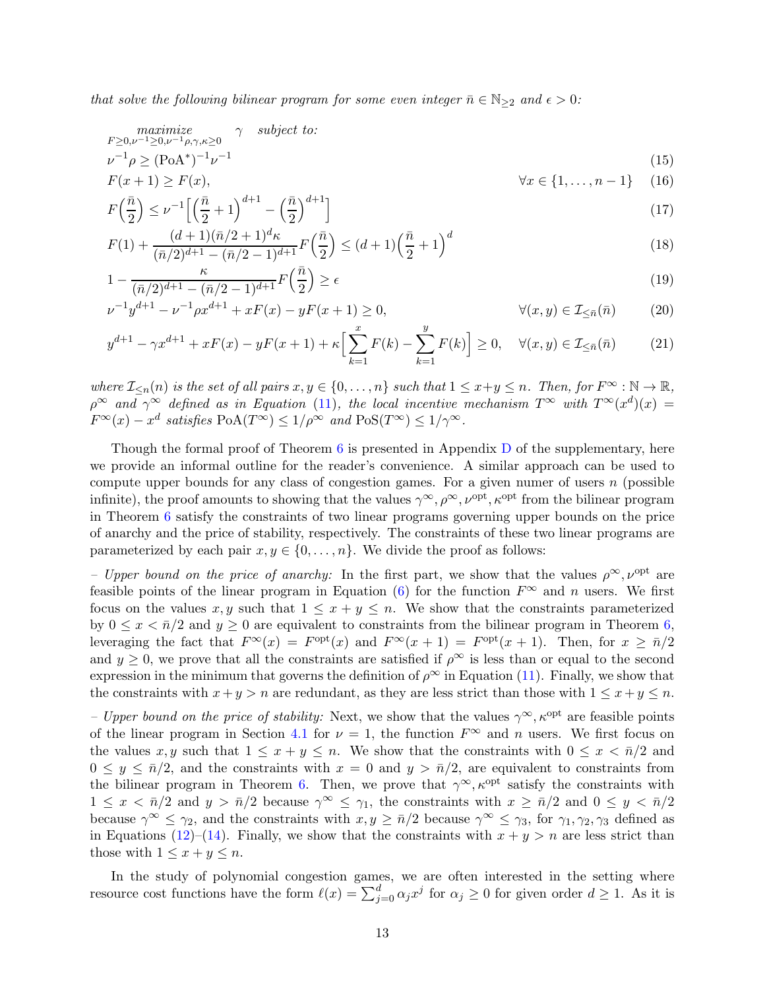that solve the following bilinear program for some even integer  $\bar{n} \in \mathbb{N}_{\geq 2}$  and  $\epsilon > 0$ :

$$
\begin{array}{ll}\n\text{maximize} & \gamma \quad \text{subject to:} \\
\text{F} \geq 0, \nu^{-1} \geq 0, \nu^{-1} \rho, \gamma, \kappa \geq 0 \\
\text{L}^{-1} \rho \geq (\text{PoA}^*)^{-1} \nu^{-1} \\
\text{F}(x+1) \geq \text{F}(x), & \forall x \in \{1, \dots, n-1\} \tag{15}\n\end{array}
$$

<span id="page-12-2"></span><span id="page-12-0"></span>
$$
F\left(\frac{\bar{n}}{2}\right) \leq \nu^{-1} \left[ \left(\frac{\bar{n}}{2} + 1\right)^{d+1} - \left(\frac{\bar{n}}{2}\right)^{d+1} \right] \tag{17}
$$

<span id="page-12-4"></span>
$$
F(1) + \frac{(d+1)(\bar{n}/2+1)^d \kappa}{(\bar{n}/2)^{d+1} - (\bar{n}/2-1)^{d+1}} F(\frac{\bar{n}}{2}) \le (d+1) \left(\frac{\bar{n}}{2} + 1\right)^d
$$
\n(18)

<span id="page-12-5"></span>
$$
1 - \frac{\kappa}{(\bar{n}/2)^{d+1} - (\bar{n}/2 - 1)^{d+1}} F\left(\frac{\bar{n}}{2}\right) \ge \epsilon \tag{19}
$$

<span id="page-12-3"></span><span id="page-12-1"></span>
$$
\nu^{-1}y^{d+1} - \nu^{-1}\rho x^{d+1} + xF(x) - yF(x+1) \ge 0, \qquad \forall (x, y) \in \mathcal{I}_{\leq \bar{n}}(\bar{n}) \tag{20}
$$

$$
y^{d+1} - \gamma x^{d+1} + xF(x) - yF(x+1) + \kappa \Big[ \sum_{k=1}^{x} F(k) - \sum_{k=1}^{y} F(k) \Big] \ge 0, \quad \forall (x, y) \in \mathcal{I}_{\le \bar{n}}(\bar{n}) \tag{21}
$$

where  $\mathcal{I}_{\leq n}(n)$  is the set of all pairs  $x, y \in \{0, \ldots, n\}$  such that  $1 \leq x+y \leq n$ . Then, for  $F^{\infty} : \mathbb{N} \to \mathbb{R}$ ,  $\rho^{\infty}$  and  $\gamma^{\infty}$  defined as in Equation [\(11\)](#page-11-1), the local incentive mechanism  $T^{\infty}$  with  $T^{\infty}(x^d)(x) =$  $F^{\infty}(x) - x^d$  satisfies  $PoA(T^{\infty}) \leq 1/\rho^{\infty}$  and  $PoS(T^{\infty}) \leq 1/\gamma^{\infty}$ .

Though the formal proof of Theorem  $6$  is presented in Appendix [D](#page-22-0) of the supplementary, here we provide an informal outline for the reader's convenience. A similar approach can be used to compute upper bounds for any class of congestion games. For a given numer of users  $n$  (possible infinite), the proof amounts to showing that the values  $\gamma^{\infty}, \rho^{\infty}, \nu^{\text{opt}}, \kappa^{\text{opt}}$  from the bilinear program in Theorem [6](#page-11-0) satisfy the constraints of two linear programs governing upper bounds on the price of anarchy and the price of stability, respectively. The constraints of these two linear programs are parameterized by each pair  $x, y \in \{0, \ldots, n\}$ . We divide the proof as follows:

– Upper bound on the price of anarchy: In the first part, we show that the values  $\rho^{\infty}, \nu^{\text{opt}}$  are feasible points of the linear program in Equation [\(6\)](#page-6-2) for the function  $F^{\infty}$  and n users. We first focus on the values x, y such that  $1 \leq x + y \leq n$ . We show that the constraints parameterized by  $0 \leq x < \bar{n}/2$  and  $y \geq 0$  are equivalent to constraints from the bilinear program in Theorem [6,](#page-11-0) leveraging the fact that  $F^{\infty}(x) = F^{\text{opt}}(x)$  and  $F^{\infty}(x+1) = F^{\text{opt}}(x+1)$ . Then, for  $x \geq \bar{n}/2$ and  $y \geq 0$ , we prove that all the constraints are satisfied if  $\rho^{\infty}$  is less than or equal to the second expression in the minimum that governs the definition of  $\rho^{\infty}$  in Equation [\(11\)](#page-11-1). Finally, we show that the constraints with  $x + y > n$  are redundant, as they are less strict than those with  $1 \le x + y \le n$ .

– Upper bound on the price of stability: Next, we show that the values  $\gamma^{\infty}, \kappa^{\text{opt}}$  are feasible points of the linear program in Section [4.1](#page-8-3) for  $\nu = 1$ , the function  $F^{\infty}$  and n users. We first focus on the values x, y such that  $1 \leq x + y \leq n$ . We show that the constraints with  $0 \leq x < \bar{n}/2$  and  $0 \leq y \leq \bar{n}/2$ , and the constraints with  $x = 0$  and  $y > \bar{n}/2$ , are equivalent to constraints from the bilinear program in Theorem [6.](#page-11-0) Then, we prove that  $\gamma^{\infty}, \kappa^{\text{opt}}$  satisfy the constraints with  $1 \leq x < \bar{n}/2$  and  $y > \bar{n}/2$  because  $\gamma^{\infty} \leq \gamma_1$ , the constraints with  $x \geq \bar{n}/2$  and  $0 \leq y < \bar{n}/2$ because  $\gamma^{\infty} \leq \gamma_2$ , and the constraints with  $x, y \geq \bar{n}/2$  because  $\gamma^{\infty} \leq \gamma_3$ , for  $\gamma_1, \gamma_2, \gamma_3$  defined as in Equations [\(12\)](#page-11-2)–[\(14\)](#page-11-3). Finally, we show that the constraints with  $x + y > n$  are less strict than those with  $1 \leq x + y \leq n$ .

In the study of polynomial congestion games, we are often interested in the setting where resource cost functions have the form  $\ell(x) = \sum_{j=0}^{d} \alpha_j x^j$  for  $\alpha_j \geq 0$  for given order  $d \geq 1$ . As it is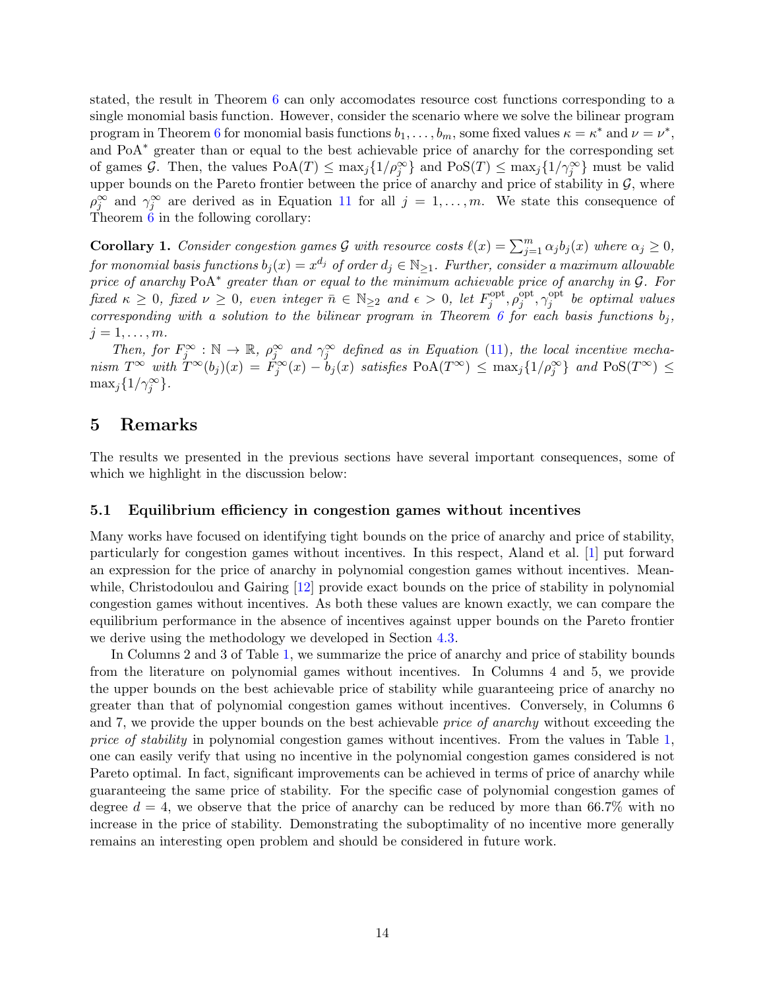stated, the result in Theorem [6](#page-11-0) can only accomodates resource cost functions corresponding to a single monomial basis function. However, consider the scenario where we solve the bilinear program program in Theorem [6](#page-11-0) for monomial basis functions  $b_1, \ldots, b_m$ , some fixed values  $\kappa = \kappa^*$  and  $\nu = \nu^*$ , and PoA<sup>∗</sup> greater than or equal to the best achievable price of anarchy for the corresponding set of games G. Then, the values  $PoA(T) \le \max_j \{1/\rho_j^{\infty}\}\$  and  $PoS(T) \le \max_j \{1/\gamma_j^{\infty}\}\$  must be valid upper bounds on the Pareto frontier between the price of anarchy and price of stability in  $\mathcal{G}$ , where  $\rho_j^{\infty}$  and  $\gamma_j^{\infty}$  are derived as in Equation [11](#page-11-1) for all  $j = 1, ..., m$ . We state this consequence of Theorem [6](#page-11-0) in the following corollary:

**Corollary 1.** Consider congestion games G with resource costs  $\ell(x) = \sum_{j=1}^{m} \alpha_j b_j(x)$  where  $\alpha_j \geq 0$ , for monomial basis functions  $b_j(x) = x^{d_j}$  of order  $d_j \in \mathbb{N}_{\geq 1}$ . Further, consider a maximum allowable price of anarchy PoA<sup>\*</sup> greater than or equal to the minimum achievable price of anarchy in G. For fixed  $\kappa \geq 0$ , fixed  $\nu \geq 0$ , even integer  $\bar{n} \in \mathbb{N}_{\geq 2}$  and  $\epsilon > 0$ , let  $F_j^{\text{opt}}$  $j^{\mathrm{opt}}, \rho_j^{\mathrm{opt}}$  $j^{\mathrm{opt}}, \gamma_j^{\mathrm{opt}}$  $j_j^{\text{opt}}$  be optimal values corresponding with a solution to the bilinear program in Theorem [6](#page-11-0) for each basis functions  $b_j$ ,  $j=1,\ldots,m$ .

Then, for  $F_j^{\infty} : \mathbb{N} \to \mathbb{R}$ ,  $\rho_j^{\infty}$  and  $\gamma_j^{\infty}$  defined as in Equation [\(11\)](#page-11-1), the local incentive mechanism  $T^{\infty}$  with  $T^{\infty}(b_j)(x) = \tilde{F}_j^{\infty}(x) - b_j(x)$  satisfies  $PoA(T^{\infty}) \le \max_j \{1/\rho_j^{\infty}\}\$  and  $PoS(T^{\infty}) \le$  $\max_j\{1/\gamma_j^{\infty}\}.$ 

### <span id="page-13-0"></span>5 Remarks

The results we presented in the previous sections have several important consequences, some of which we highlight in the discussion below:

#### 5.1 Equilibrium efficiency in congestion games without incentives

Many works have focused on identifying tight bounds on the price of anarchy and price of stability, particularly for congestion games without incentives. In this respect, Aland et al. [\[1](#page-15-1)] put forward an expression for the price of anarchy in polynomial congestion games without incentives. Mean-while, Christodoulou and Gairing [\[12\]](#page-16-5) provide exact bounds on the price of stability in polynomial congestion games without incentives. As both these values are known exactly, we can compare the equilibrium performance in the absence of incentives against upper bounds on the Pareto frontier we derive using the methodology we developed in Section [4.3.](#page-10-2)

In Columns 2 and 3 of Table [1,](#page-14-0) we summarize the price of anarchy and price of stability bounds from the literature on polynomial games without incentives. In Columns 4 and 5, we provide the upper bounds on the best achievable price of stability while guaranteeing price of anarchy no greater than that of polynomial congestion games without incentives. Conversely, in Columns 6 and 7, we provide the upper bounds on the best achievable *price of anarchy* without exceeding the price of stability in polynomial congestion games without incentives. From the values in Table [1,](#page-14-0) one can easily verify that using no incentive in the polynomial congestion games considered is not Pareto optimal. In fact, significant improvements can be achieved in terms of price of anarchy while guaranteeing the same price of stability. For the specific case of polynomial congestion games of degree  $d = 4$ , we observe that the price of anarchy can be reduced by more than 66.7% with no increase in the price of stability. Demonstrating the suboptimality of no incentive more generally remains an interesting open problem and should be considered in future work.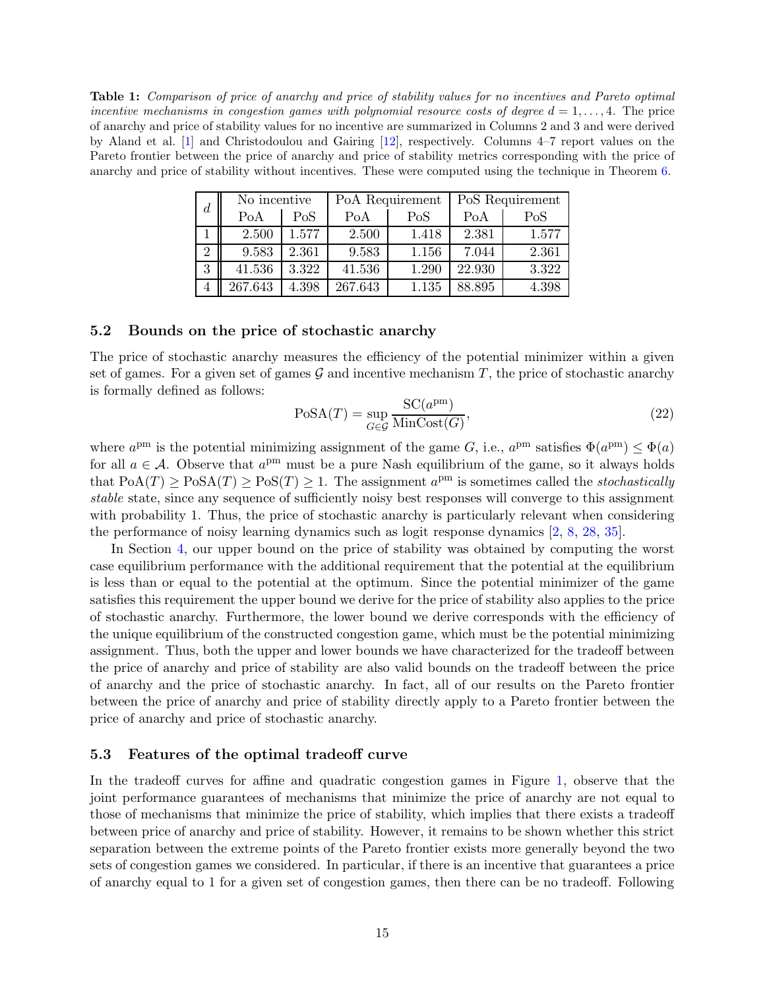<span id="page-14-0"></span>Table 1: Comparison of price of anarchy and price of stability values for no incentives and Pareto optimal incentive mechanisms in congestion games with polynomial resource costs of degree  $d = 1, \ldots, 4$ . The price of anarchy and price of stability values for no incentive are summarized in Columns 2 and 3 and were derived by Aland et al. [\[1\]](#page-15-1) and Christodoulou and Gairing [\[12\]](#page-16-5), respectively. Columns 4–7 report values on the Pareto frontier between the price of anarchy and price of stability metrics corresponding with the price of anarchy and price of stability without incentives. These were computed using the technique in Theorem [6.](#page-11-0)

| $\overline{d}$ | No incentive |       | PoA Requirement |       | PoS Requirement |       |
|----------------|--------------|-------|-----------------|-------|-----------------|-------|
|                | PoA          | PoS   | PoA             | PoS   | PoA             | PoS   |
|                | 2.500        | 1.577 | 2.500           | 1.418 | 2.381           | 1.577 |
| $\overline{2}$ | 9.583        | 2.361 | 9.583           | 1.156 | 7.044           | 2.361 |
| 3              | 41.536       | 3.322 | 41.536          | 1.290 | 22.930          | 3.322 |
|                | 267.643      | 4.398 | 267.643         | 1.135 | 88.895          | 4.398 |

#### 5.2 Bounds on the price of stochastic anarchy

The price of stochastic anarchy measures the efficiency of the potential minimizer within a given set of games. For a given set of games  $\mathcal G$  and incentive mechanism T, the price of stochastic anarchy is formally defined as follows:

$$
PoSA(T) = \sup_{G \in \mathcal{G}} \frac{SC(a^{pm})}{MinCost(G)},\tag{22}
$$

where  $a^{pm}$  is the potential minimizing assignment of the game G, i.e.,  $a^{pm}$  satisfies  $\Phi(a^{pm}) \leq \Phi(a)$ for all  $a \in \mathcal{A}$ . Observe that  $a^{pm}$  must be a pure Nash equilibrium of the game, so it always holds that  $PoA(T) \ge PoSA(T) \ge PoS(T) \ge 1$ . The assignment  $a^{pm}$  is sometimes called the *stochastically* stable state, since any sequence of sufficiently noisy best responses will converge to this assignment with probability 1. Thus, the price of stochastic anarchy is particularly relevant when considering the performance of noisy learning dynamics such as logit response dynamics [\[2,](#page-15-2) [8,](#page-16-13) [28](#page-17-12), [35](#page-17-13)].

In Section [4,](#page-8-0) our upper bound on the price of stability was obtained by computing the worst case equilibrium performance with the additional requirement that the potential at the equilibrium is less than or equal to the potential at the optimum. Since the potential minimizer of the game satisfies this requirement the upper bound we derive for the price of stability also applies to the price of stochastic anarchy. Furthermore, the lower bound we derive corresponds with the efficiency of the unique equilibrium of the constructed congestion game, which must be the potential minimizing assignment. Thus, both the upper and lower bounds we have characterized for the tradeoff between the price of anarchy and price of stability are also valid bounds on the tradeoff between the price of anarchy and the price of stochastic anarchy. In fact, all of our results on the Pareto frontier between the price of anarchy and price of stability directly apply to a Pareto frontier between the price of anarchy and price of stochastic anarchy.

#### 5.3 Features of the optimal tradeoff curve

In the tradeoff curves for affine and quadratic congestion games in Figure [1,](#page-3-0) observe that the joint performance guarantees of mechanisms that minimize the price of anarchy are not equal to those of mechanisms that minimize the price of stability, which implies that there exists a tradeoff between price of anarchy and price of stability. However, it remains to be shown whether this strict separation between the extreme points of the Pareto frontier exists more generally beyond the two sets of congestion games we considered. In particular, if there is an incentive that guarantees a price of anarchy equal to 1 for a given set of congestion games, then there can be no tradeoff. Following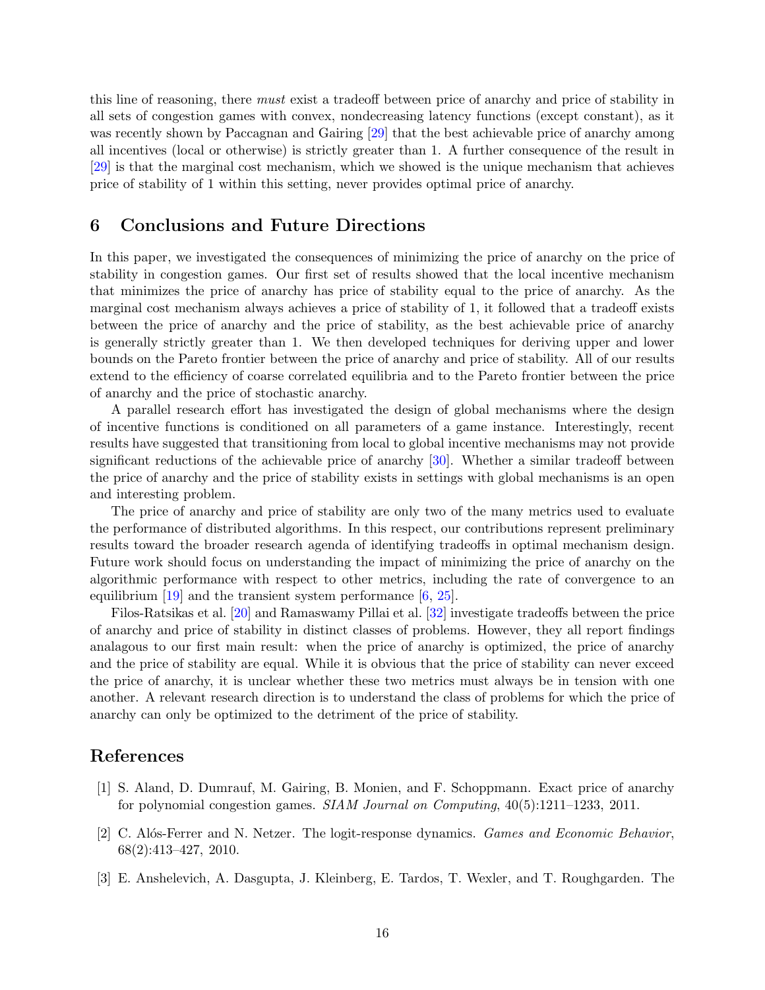this line of reasoning, there must exist a tradeoff between price of anarchy and price of stability in all sets of congestion games with convex, nondecreasing latency functions (except constant), as it was recently shown by Paccagnan and Gairing [\[29\]](#page-17-7) that the best achievable price of anarchy among all incentives (local or otherwise) is strictly greater than 1. A further consequence of the result in [\[29\]](#page-17-7) is that the marginal cost mechanism, which we showed is the unique mechanism that achieves price of stability of 1 within this setting, never provides optimal price of anarchy.

### 6 Conclusions and Future Directions

In this paper, we investigated the consequences of minimizing the price of anarchy on the price of stability in congestion games. Our first set of results showed that the local incentive mechanism that minimizes the price of anarchy has price of stability equal to the price of anarchy. As the marginal cost mechanism always achieves a price of stability of 1, it followed that a tradeoff exists between the price of anarchy and the price of stability, as the best achievable price of anarchy is generally strictly greater than 1. We then developed techniques for deriving upper and lower bounds on the Pareto frontier between the price of anarchy and price of stability. All of our results extend to the efficiency of coarse correlated equilibria and to the Pareto frontier between the price of anarchy and the price of stochastic anarchy.

A parallel research effort has investigated the design of global mechanisms where the design of incentive functions is conditioned on all parameters of a game instance. Interestingly, recent results have suggested that transitioning from local to global incentive mechanisms may not provide significant reductions of the achievable price of anarchy [\[30](#page-17-5)]. Whether a similar tradeoff between the price of anarchy and the price of stability exists in settings with global mechanisms is an open and interesting problem.

The price of anarchy and price of stability are only two of the many metrics used to evaluate the performance of distributed algorithms. In this respect, our contributions represent preliminary results toward the broader research agenda of identifying tradeoffs in optimal mechanism design. Future work should focus on understanding the impact of minimizing the price of anarchy on the algorithmic performance with respect to other metrics, including the rate of convergence to an equilibrium  $[19]$  and the transient system performance  $[6, 25]$  $[6, 25]$  $[6, 25]$ .

Filos-Ratsikas et al. [\[20](#page-17-9)] and Ramaswamy Pillai et al. [\[32\]](#page-17-10) investigate tradeoffs between the price of anarchy and price of stability in distinct classes of problems. However, they all report findings analagous to our first main result: when the price of anarchy is optimized, the price of anarchy and the price of stability are equal. While it is obvious that the price of stability can never exceed the price of anarchy, it is unclear whether these two metrics must always be in tension with one another. A relevant research direction is to understand the class of problems for which the price of anarchy can only be optimized to the detriment of the price of stability.

### References

- <span id="page-15-1"></span>[1] S. Aland, D. Dumrauf, M. Gairing, B. Monien, and F. Schoppmann. Exact price of anarchy for polynomial congestion games. SIAM Journal on Computing, 40(5):1211–1233, 2011.
- <span id="page-15-2"></span>[2] C. Alós-Ferrer and N. Netzer. The logit-response dynamics. *Games and Economic Behavior*, 68(2):413–427, 2010.
- <span id="page-15-0"></span>[3] E. Anshelevich, A. Dasgupta, J. Kleinberg, E. Tardos, T. Wexler, and T. Roughgarden. The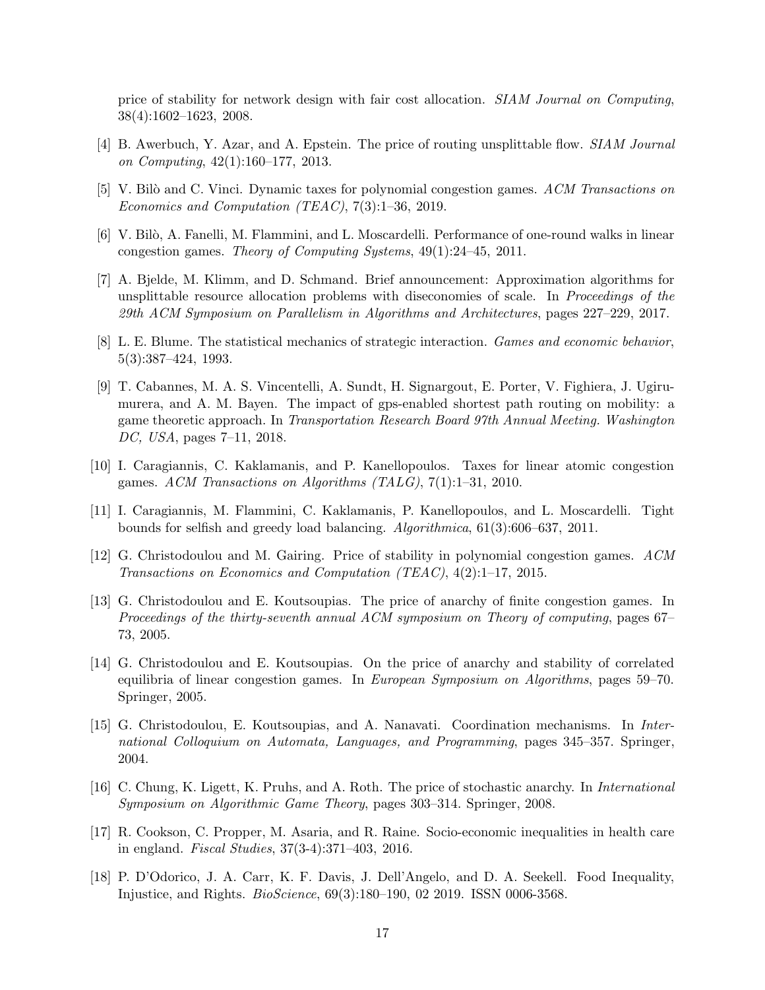price of stability for network design with fair cost allocation. SIAM Journal on Computing, 38(4):1602–1623, 2008.

- <span id="page-16-6"></span>[4] B. Awerbuch, Y. Azar, and A. Epstein. The price of routing unsplittable flow. SIAM Journal on Computing, 42(1):160–177, 2013.
- <span id="page-16-3"></span>[5] V. Bilò and C. Vinci. Dynamic taxes for polynomial congestion games. ACM Transactions on Economics and Computation (TEAC), 7(3):1–36, 2019.
- <span id="page-16-14"></span>[6] V. Bilò, A. Fanelli, M. Flammini, and L. Moscardelli. Performance of one-round walks in linear congestion games. Theory of Computing Systems, 49(1):24–45, 2011.
- <span id="page-16-9"></span>[7] A. Bjelde, M. Klimm, and D. Schmand. Brief announcement: Approximation algorithms for unsplittable resource allocation problems with diseconomies of scale. In Proceedings of the 29th ACM Symposium on Parallelism in Algorithms and Architectures, pages 227–229, 2017.
- <span id="page-16-13"></span>[8] L. E. Blume. The statistical mechanics of strategic interaction. Games and economic behavior, 5(3):387–424, 1993.
- <span id="page-16-2"></span>[9] T. Cabannes, M. A. S. Vincentelli, A. Sundt, H. Signargout, E. Porter, V. Fighiera, J. Ugirumurera, and A. M. Bayen. The impact of gps-enabled shortest path routing on mobility: a game theoretic approach. In Transportation Research Board 97th Annual Meeting. Washington DC, USA, pages 7–11, 2018.
- <span id="page-16-4"></span>[10] I. Caragiannis, C. Kaklamanis, and P. Kanellopoulos. Taxes for linear atomic congestion games. ACM Transactions on Algorithms (TALG), 7(1):1–31, 2010.
- <span id="page-16-10"></span>[11] I. Caragiannis, M. Flammini, C. Kaklamanis, P. Kanellopoulos, and L. Moscardelli. Tight bounds for selfish and greedy load balancing. Algorithmica, 61(3):606–637, 2011.
- <span id="page-16-5"></span>[12] G. Christodoulou and M. Gairing. Price of stability in polynomial congestion games. ACM Transactions on Economics and Computation (TEAC), 4(2):1–17, 2015.
- <span id="page-16-7"></span>[13] G. Christodoulou and E. Koutsoupias. The price of anarchy of finite congestion games. In Proceedings of the thirty-seventh annual ACM symposium on Theory of computing, pages 67– 73, 2005.
- <span id="page-16-11"></span>[14] G. Christodoulou and E. Koutsoupias. On the price of anarchy and stability of correlated equilibria of linear congestion games. In European Symposium on Algorithms, pages 59–70. Springer, 2005.
- <span id="page-16-8"></span>[15] G. Christodoulou, E. Koutsoupias, and A. Nanavati. Coordination mechanisms. In International Colloquium on Automata, Languages, and Programming, pages 345–357. Springer, 2004.
- <span id="page-16-12"></span>[16] C. Chung, K. Ligett, K. Pruhs, and A. Roth. The price of stochastic anarchy. In International Symposium on Algorithmic Game Theory, pages 303–314. Springer, 2008.
- <span id="page-16-0"></span>[17] R. Cookson, C. Propper, M. Asaria, and R. Raine. Socio-economic inequalities in health care in england. Fiscal Studies, 37(3-4):371–403, 2016.
- <span id="page-16-1"></span>[18] P. D'Odorico, J. A. Carr, K. F. Davis, J. Dell'Angelo, and D. A. Seekell. Food Inequality, Injustice, and Rights. BioScience, 69(3):180–190, 02 2019. ISSN 0006-3568.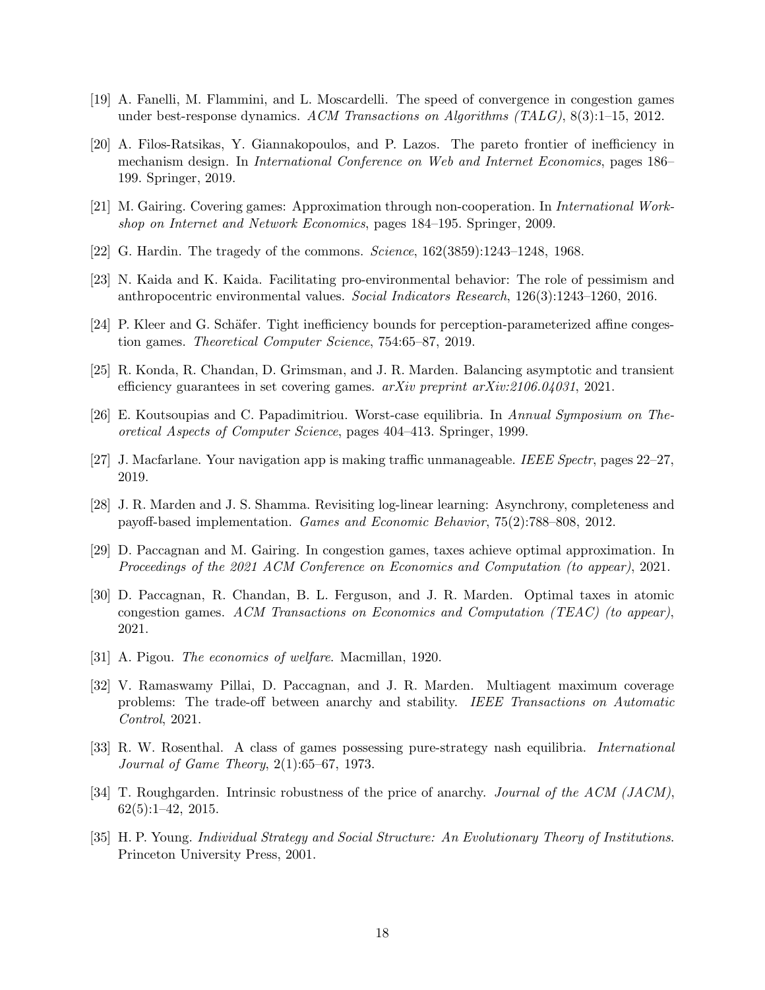- <span id="page-17-14"></span>[19] A. Fanelli, M. Flammini, and L. Moscardelli. The speed of convergence in congestion games under best-response dynamics. ACM Transactions on Algorithms (TALG), 8(3):1–15, 2012.
- <span id="page-17-9"></span>[20] A. Filos-Ratsikas, Y. Giannakopoulos, and P. Lazos. The pareto frontier of inefficiency in mechanism design. In International Conference on Web and Internet Economics, pages 186– 199. Springer, 2019.
- <span id="page-17-11"></span>[21] M. Gairing. Covering games: Approximation through non-cooperation. In International Workshop on Internet and Network Economics, pages 184–195. Springer, 2009.
- <span id="page-17-0"></span>[22] G. Hardin. The tragedy of the commons. Science, 162(3859):1243–1248, 1968.
- <span id="page-17-1"></span>[23] N. Kaida and K. Kaida. Facilitating pro-environmental behavior: The role of pessimism and anthropocentric environmental values. Social Indicators Research, 126(3):1243–1260, 2016.
- <span id="page-17-8"></span>[24] P. Kleer and G. Schäfer. Tight inefficiency bounds for perception-parameterized affine congestion games. Theoretical Computer Science, 754:65–87, 2019.
- <span id="page-17-15"></span>[25] R. Konda, R. Chandan, D. Grimsman, and J. R. Marden. Balancing asymptotic and transient efficiency guarantees in set covering games. arXiv preprint arXiv:2106.04031, 2021.
- <span id="page-17-4"></span>[26] E. Koutsoupias and C. Papadimitriou. Worst-case equilibria. In Annual Symposium on Theoretical Aspects of Computer Science, pages 404–413. Springer, 1999.
- <span id="page-17-2"></span>[27] J. Macfarlane. Your navigation app is making traffic unmanageable. IEEE Spectr, pages 22–27, 2019.
- <span id="page-17-12"></span>[28] J. R. Marden and J. S. Shamma. Revisiting log-linear learning: Asynchrony, completeness and payoff-based implementation. Games and Economic Behavior, 75(2):788–808, 2012.
- <span id="page-17-7"></span>[29] D. Paccagnan and M. Gairing. In congestion games, taxes achieve optimal approximation. In Proceedings of the 2021 ACM Conference on Economics and Computation (to appear), 2021.
- <span id="page-17-5"></span>[30] D. Paccagnan, R. Chandan, B. L. Ferguson, and J. R. Marden. Optimal taxes in atomic congestion games. ACM Transactions on Economics and Computation (TEAC) (to appear), 2021.
- <span id="page-17-6"></span>[31] A. Pigou. The economics of welfare. Macmillan, 1920.
- <span id="page-17-10"></span>[32] V. Ramaswamy Pillai, D. Paccagnan, and J. R. Marden. Multiagent maximum coverage problems: The trade-off between anarchy and stability. IEEE Transactions on Automatic Control, 2021.
- <span id="page-17-3"></span>[33] R. W. Rosenthal. A class of games possessing pure-strategy nash equilibria. International Journal of Game Theory, 2(1):65–67, 1973.
- <span id="page-17-16"></span>[34] T. Roughgarden. Intrinsic robustness of the price of anarchy. *Journal of the ACM (JACM)*, 62(5):1–42, 2015.
- <span id="page-17-13"></span>[35] H. P. Young. Individual Strategy and Social Structure: An Evolutionary Theory of Institutions. Princeton University Press, 2001.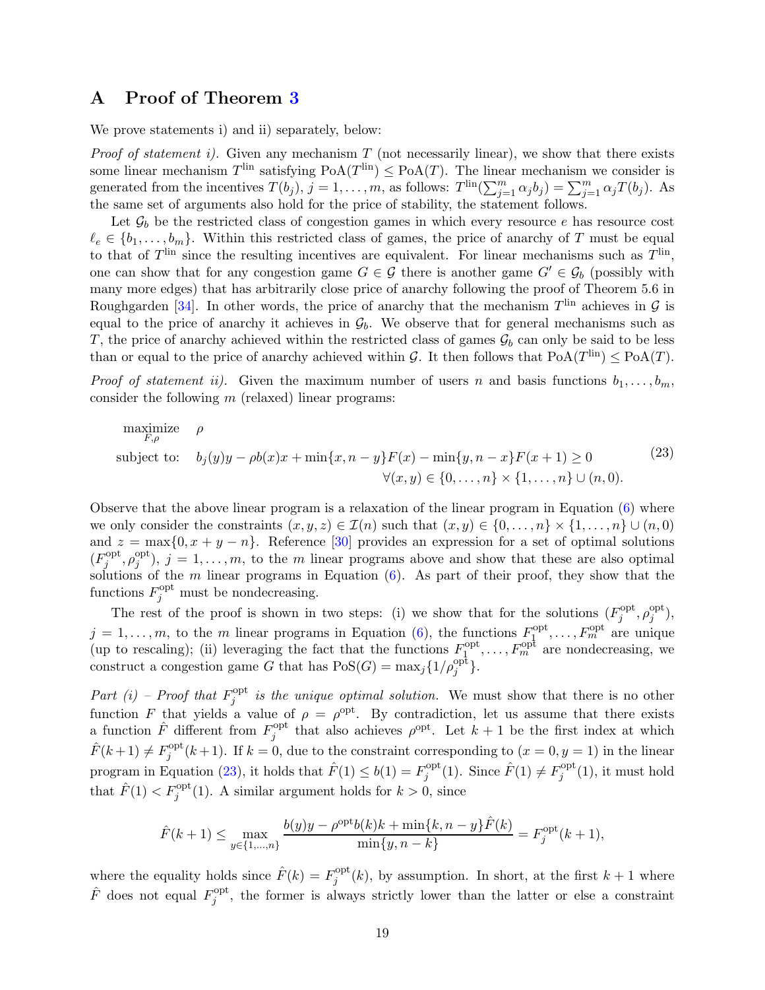# <span id="page-18-0"></span>A Proof of Theorem [3](#page-7-0)

We prove statements i) and ii) separately, below:

*Proof of statement i).* Given any mechanism  $T$  (not necessarily linear), we show that there exists some linear mechanism  $T^{\text{lin}}$  satisfying  $PoA(T^{\text{lin}}) \leq PoA(T)$ . The linear mechanism we consider is generated from the incentives  $T(b_j)$ ,  $j = 1, \ldots, m$ , as follows:  $T^{\text{lin}}(\sum_{j=1}^m \alpha_j b_j) = \sum_{j=1}^m \alpha_j T(b_j)$ . As the same set of arguments also hold for the price of stability, the statement follows.

Let  $\mathcal{G}_b$  be the restricted class of congestion games in which every resource e has resource cost  $\ell_e \in \{b_1, \ldots, b_m\}$ . Within this restricted class of games, the price of anarchy of T must be equal to that of  $T^{\text{lin}}$  since the resulting incentives are equivalent. For linear mechanisms such as  $T^{\text{lin}}$ , one can show that for any congestion game  $G \in \mathcal{G}$  there is another game  $G' \in \mathcal{G}_b$  (possibly with many more edges) that has arbitrarily close price of anarchy following the proof of Theorem 5.6 in Roughgarden [\[34](#page-17-16)]. In other words, the price of anarchy that the mechanism  $T^{\text{lin}}$  achieves in  $\mathcal G$  is equal to the price of anarchy it achieves in  $\mathcal{G}_b$ . We observe that for general mechanisms such as T, the price of anarchy achieved within the restricted class of games  $\mathcal{G}_b$  can only be said to be less than or equal to the price of anarchy achieved within G. It then follows that  $PoA(T<sup>lin</sup>) \le PoA(T)$ .

*Proof of statement ii).* Given the maximum number of users n and basis functions  $b_1, \ldots, b_m$ , consider the following  $m$  (relaxed) linear programs:

<span id="page-18-1"></span>
$$
\begin{array}{ll}\text{maximize} & \rho\\ \text{subject to:} & b_j(y)y - \rho b(x)x + \min\{x, n - y\}F(x) - \min\{y, n - x\}F(x+1) \ge 0\\ & \forall (x, y) \in \{0, \dots, n\} \times \{1, \dots, n\} \cup (n, 0).\end{array} \tag{23}
$$

Observe that the above linear program is a relaxation of the linear program in Equation [\(6\)](#page-6-2) where we only consider the constraints  $(x, y, z) \in \mathcal{I}(n)$  such that  $(x, y) \in \{0, \ldots, n\} \times \{1, \ldots, n\} \cup (n, 0)$ and  $z = \max\{0, x + y - n\}$ . Reference [\[30](#page-17-5)] provides an expression for a set of optimal solutions  $(F_i^{\text{opt}})$  $j^{\text{opt}}, \rho_j^{\text{opt}}$  $j_j^{opt}$ ,  $j = 1, \ldots, m$ , to the m linear programs above and show that these are also optimal solutions of the m linear programs in Equation  $(6)$ . As part of their proof, they show that the functions  $F_j^{\text{opt}}$  must be nondecreasing.

The rest of the proof is shown in two steps: (i) we show that for the solutions  $(F_i^{\text{opt}})$  $j^{\text{opt}}, \rho_j^{\text{opt}}$  $j^{\text{opt}}),$  $j = 1, \ldots, m$ , to the m linear programs in Equation [\(6\)](#page-6-2), the functions  $F_1^{\text{opt}}$  $I_1^{\text{opt}}, \ldots, F_m^{\text{opt}}$  are unique (up to rescaling); (ii) leveraging the fact that the functions  $F_1^{\text{opt}}$  $I_1^{\text{opt}}, \ldots, F_m^{\text{opt}}$  are nondecreasing, we construct a congestion game G that has  $Pos(G) = \max_j \{1/\rho_j^{opt}\}.$ 

Part (i) – Proof that  $F_i^{\text{opt}}$  $j_j^{\text{opt}}$  is the unique optimal solution. We must show that there is no other function F that yields a value of  $\rho = \rho^{\text{opt}}$ . By contradiction, let us assume that there exists a function  $\hat{F}$  different from  $F_i^{\text{opt}}$ <sup>opt</sup> that also achieves  $\rho^{\text{opt}}$ . Let  $k+1$  be the first index at which  $\hat{F}(k+1) \neq F_i^{\text{opt}}$  $j^{opt}(k+1)$ . If  $k=0$ , due to the constraint corresponding to  $(x=0, y=1)$  in the linear program in Equation [\(23\)](#page-18-1), it holds that  $\hat{F}(1) \leq b(1) = F_i^{\text{opt}}$ <sup>opt</sup>(1). Since  $\hat{F}(1) \neq F_j^{\text{opt}}$  $j^{\text{opt}}(1)$ , it must hold that  $\hat{F}(1) < F_j^{\text{opt}}(1)$ . A similar argument holds for  $k > 0$ , since

$$
\hat{F}(k+1) \le \max_{y \in \{1, \dots, n\}} \frac{b(y)y - \rho^{\text{opt}}b(k)k + \min\{k, n - y\} \hat{F}(k)}{\min\{y, n - k\}} = F_j^{\text{opt}}(k+1),
$$

where the equality holds since  $\hat{F}(k) = F_i^{\text{opt}}$  $j^{opt}(k)$ , by assumption. In short, at the first  $k+1$  where  $\hat{F}$  does not equal  $F_i^{\text{opt}}$  $j^{opt}$ , the former is always strictly lower than the latter or else a constraint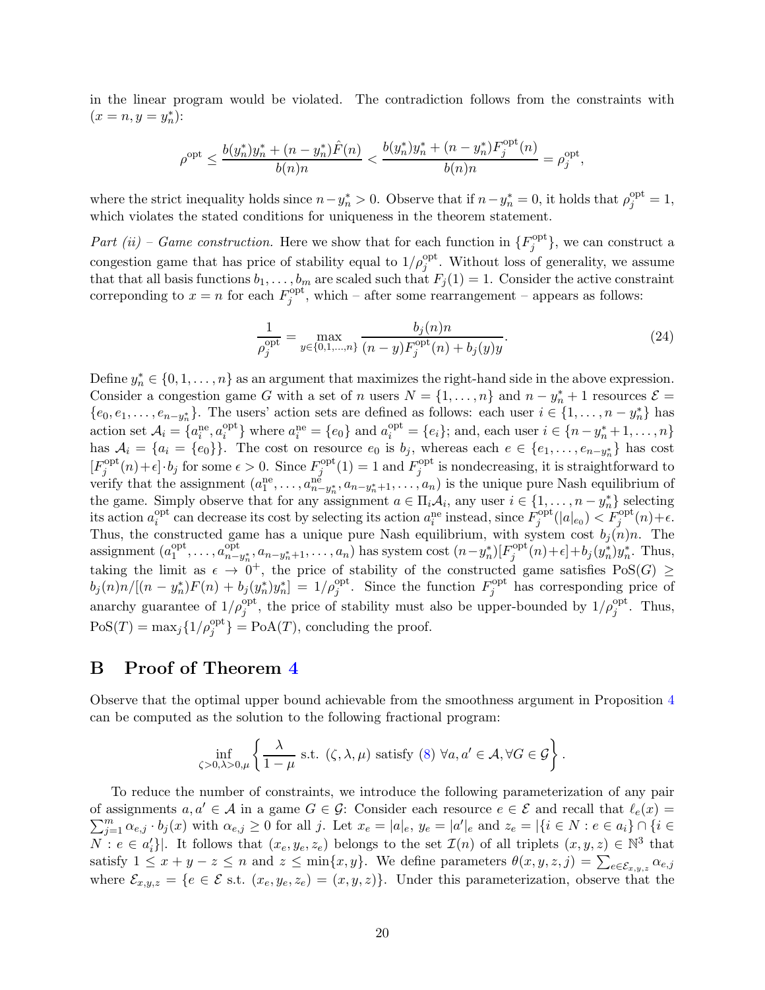in the linear program would be violated. The contradiction follows from the constraints with  $(x = n, y = y_n^*)$ :

$$
\rho^{\rm opt} \leq \frac{b(y^*_n)y^*_n + (n-y^*_n)\hat{F}(n)}{b(n)n} < \frac{b(y^*_n)y^*_n + (n-y^*_n)F^{\rm opt}_j(n)}{b(n)n} = \rho^{\rm opt}_j,
$$

where the strict inequality holds since  $n-y_n^* > 0$ . Observe that if  $n-y_n^* = 0$ , it holds that  $\rho_j^{\text{opt}} = 1$ , which violates the stated conditions for uniqueness in the theorem statement.

Part (ii) – Game construction. Here we show that for each function in  ${F_i^{\text{opt}}}$  $j^{\text{opt}}$ , we can construct a congestion game that has price of stability equal to  $1/\rho_j^{\text{opt}}$ . Without loss of generality, we assume that that all basis functions  $b_1, \ldots, b_m$  are scaled such that  $F_j(1) = 1$ . Consider the active constraint correponding to  $x = n$  for each  $F_i^{\text{opt}}$  $j^{opt}$ , which – after some rearrangement – appears as follows:

$$
\frac{1}{\rho_j^{\text{opt}}} = \max_{y \in \{0, 1, \dots, n\}} \frac{b_j(n)n}{(n - y)F_j^{\text{opt}}(n) + b_j(y)y}.
$$
\n(24)

Define  $y_n^* \in \{0, 1, \ldots, n\}$  as an argument that maximizes the right-hand side in the above expression. Consider a congestion game G with a set of n users  $N = \{1, ..., n\}$  and  $n - y_n^* + 1$  resources  $\mathcal{E} =$  $\{e_0, e_1, \ldots, e_{n-y_n} \}$ . The users' action sets are defined as follows: each user  $i \in \{1, \ldots, n-y_n^*\}$  has action set  $A_i = \{a_i^{\text{ne}}, a_i^{\text{opt}}\}$  $a_i^{\text{opt}}$ } where  $a_i^{\text{ne}} = \{e_0\}$  and  $a_i^{\text{opt}} = \{e_i\}$ ; and, each user  $i \in \{n - y_n^* + 1, ..., n\}$ has  $A_i = \{a_i = \{e_0\}\}\.$  The cost on resource  $e_0$  is  $b_j$ , whereas each  $e \in \{e_1, \ldots, e_{n-y_n^*}\}\$  has cost  $[F_j^{\text{opt}}(n) + \epsilon] \cdot b_j$  for some  $\epsilon > 0$ . Since  $F_j^{\text{opt}}(1) = 1$  and  $F_j^{\text{opt}}$  is nondecreasing, it is straight  $j^{\text{opt}}(n)+\epsilon\cdot b_j$  for some  $\epsilon > 0$ . Since  $F_j^{\text{opt}}$  $f_j^{\text{opt}}(1) = 1$  and  $F_j^{\text{opt}}$ <sup>opt</sup> is nondecreasing, it is straightforward to verify that the assignment  $(a_1^{\text{ne}}, \ldots, a_{n-y_n^*}^{\text{ne}}, a_{n-y_n^*+1}, \ldots, a_n)$  is the unique pure Nash equilibrium of the game. Simply observe that for any assignment  $a \in \Pi_i \mathcal{A}_i$ , any user  $i \in \{1, \ldots, n - y_n^*\}$  selecting its action  $a_i^{\text{opt}}$ <sup>opt</sup> can decrease its cost by selecting its action  $a_i^{\text{ne}}$  instead, since  $\hat{F}_j^{\text{opt}}$  $f_j^{\text{opt}}(|a|_{e_0}) < F_j^{\text{opt}}(n) + \epsilon.$ Thus, the constructed game has a unique pure Nash equilibrium, with system cost  $b_j(n)n$ . The assignment  $(a_1^{\text{opt}})$  $a_1^{\text{opt}}, \ldots, a_{n-1}^{\text{opt}}$ <sup>opt</sup><sub>n−y<sup>\*</sup></sub>,  $a_{n-y_n^*+1},..., a_n$ ) has system cost  $(n-y_n^*)[F_j^{\text{opt}}]$  $j^{\text{opt}}(n)+\epsilon]+b_j(y_n^*)y_n^*$ . Thus, taking the limit as  $\epsilon \to 0^+$ , the price of stability of the constructed game satisfies PoS(G)  $\geq$  $b_j(n)n/[(n-y_n^*)F(n) + b_j(y_n^*)y_n^*] = 1/\rho_j^{\text{opt}}$ . Since the function  $F_j^{\text{opt}}$ <sup>opt</sup> has corresponding price of anarchy guarantee of  $1/\rho_j^{\text{opt}}$ , the price of stability must also be upper-bounded by  $1/\rho_j^{\text{opt}}$ . Thus,  $\text{PoS}(T) = \max_j \{1/\rho_j^{\text{opt}}\} = \text{PoA}(T)$ , concluding the proof.

### <span id="page-19-0"></span>B Proof of Theorem [4](#page-9-0)

Observe that the optimal upper bound achievable from the smoothness argument in Proposition [4](#page-8-2) can be computed as the solution to the following fractional program:

$$
\inf_{\zeta>0,\lambda>0,\mu}\left\{\frac{\lambda}{1-\mu}\text{ s.t. } (\zeta,\lambda,\mu)\text{ satisfy (8) }\forall a,a'\in\mathcal{A},\forall G\in\mathcal{G}\right\}.
$$

To reduce the number of constraints, we introduce the following parameterization of any pair of assignments  $a, a' \in \mathcal{A}$  in a game  $G \in \mathcal{G}$ : Consider each resource  $e \in \mathcal{E}$  and recall that  $\ell_e(x) =$  $\sum_{j=1}^m \alpha_{e,j} \cdot b_j(x)$  with  $\alpha_{e,j} \geq 0$  for all j. Let  $x_e = |a|_e$ ,  $y_e = |a'|_e$  and  $z_e = |\{i \in N : e \in a_i\} \cap \{i \in N\}$  $N: e \in a'_i\}.$  It follows that  $(x_e, y_e, z_e)$  belongs to the set  $\mathcal{I}(n)$  of all triplets  $(x, y, z) \in \mathbb{N}^3$  that satisfy  $1 \le x + y - z \le n$  and  $z \le \min\{x, y\}$ . We define parameters  $\theta(x, y, z, j) = \sum_{e \in \mathcal{E}_{x, y, z}} \alpha_{e, j}$ where  $\mathcal{E}_{x,y,z} = \{e \in \mathcal{E} \text{ s.t. } (x_e, y_e, z_e) = (x, y, z)\}\.$  Under this parameterization, observe that the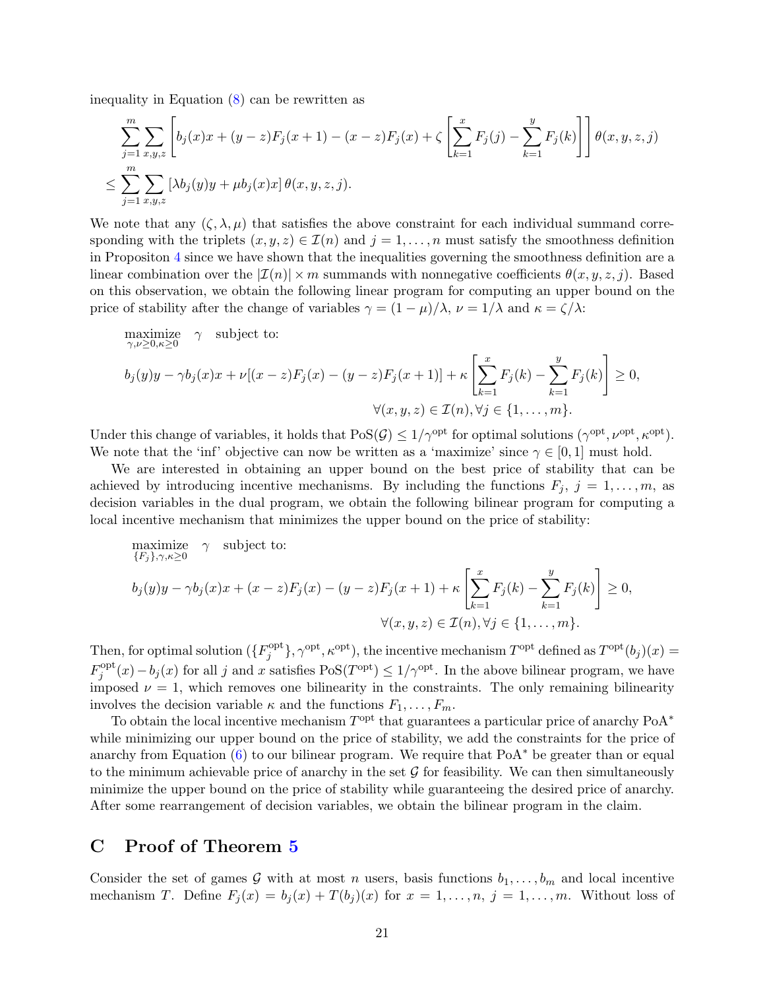inequality in Equation [\(8\)](#page-8-1) can be rewritten as

$$
\sum_{j=1}^{m} \sum_{x,y,z} \left[ b_j(x)x + (y-z)F_j(x+1) - (x-z)F_j(x) + \zeta \left[ \sum_{k=1}^{x} F_j(j) - \sum_{k=1}^{y} F_j(k) \right] \right] \theta(x,y,z,j)
$$
  

$$
\leq \sum_{j=1}^{m} \sum_{x,y,z} \left[ \lambda b_j(y)y + \mu b_j(x)x \right] \theta(x,y,z,j).
$$

We note that any  $(\zeta, \lambda, \mu)$  that satisfies the above constraint for each individual summand corresponding with the triplets  $(x, y, z) \in \mathcal{I}(n)$  and  $j = 1, \ldots, n$  must satisfy the smoothness definition in Propositon [4](#page-8-2) since we have shown that the inequalities governing the smoothness definition are a linear combination over the  $|\mathcal{I}(n)| \times m$  summands with nonnegative coefficients  $\theta(x, y, z, j)$ . Based on this observation, we obtain the following linear program for computing an upper bound on the price of stability after the change of variables  $\gamma = (1 - \mu)/\lambda$ ,  $\nu = 1/\lambda$  and  $\kappa = \zeta/\lambda$ :

$$
\begin{aligned}\n\underset{\gamma,\nu\geq 0,\kappa\geq 0}{\text{maximize}} & \gamma \quad \text{subject to:} \\
b_j(y)y - \gamma b_j(x)x + \nu[(x-z)F_j(x) - (y-z)F_j(x+1)] + \kappa \left[ \sum_{k=1}^x F_j(k) - \sum_{k=1}^y F_j(k) \right] &\geq 0, \\
\forall (x, y, z) \in \mathcal{I}(n), \forall j \in \{1, \dots, m\}.\n\end{aligned}
$$

Under this change of variables, it holds that  $\text{PoS}(\mathcal{G}) \leq 1/\gamma^{\text{opt}}$  for optimal solutions  $(\gamma^{\text{opt}}, \nu^{\text{opt}}, \kappa^{\text{opt}})$ . We note that the 'inf' objective can now be written as a 'maximize' since  $\gamma \in [0,1]$  must hold.

We are interested in obtaining an upper bound on the best price of stability that can be achieved by introducing incentive mechanisms. By including the functions  $F_j$ ,  $j = 1, \ldots, m$ , as decision variables in the dual program, we obtain the following bilinear program for computing a local incentive mechanism that minimizes the upper bound on the price of stability:

maximize 
$$
\gamma
$$
 subject to:  
\n
$$
b_j(y)y - \gamma b_j(x)x + (x - z)F_j(x) - (y - z)F_j(x + 1) + \kappa \left[ \sum_{k=1}^x F_j(k) - \sum_{k=1}^y F_j(k) \right] \ge 0,
$$
\n
$$
\forall (x, y, z) \in \mathcal{I}(n), \forall j \in \{1, ..., m\}.
$$

Then, for optimal solution  $({F_i^{\text{opt}}}$  ${j<sup>opt</sup> \atop j}, \gamma<sup>opt</sup>, \kappa<sup>opt</sup>$ ), the incentive mechanism  $T<sup>opt</sup>$  defined as  $T<sup>opt</sup>(b<sub>j</sub>)(x)$  $F_i^{\text{opt}}$  $j_j^{\text{opt}}(x) - b_j(x)$  for all j and x satisfies  $\text{PoS}(T^{\text{opt}}) \leq 1/\gamma^{\text{opt}}$ . In the above bilinear program, we have imposed  $\nu = 1$ , which removes one bilinearity in the constraints. The only remaining bilinearity involves the decision variable  $\kappa$  and the functions  $F_1, \ldots, F_m$ .

To obtain the local incentive mechanism  $T^{\text{opt}}$  that guarantees a particular price of anarchy PoA<sup>\*</sup> while minimizing our upper bound on the price of stability, we add the constraints for the price of anarchy from Equation  $(6)$  to our bilinear program. We require that PoA<sup>∗</sup> be greater than or equal to the minimum achievable price of anarchy in the set  $\mathcal G$  for feasibility. We can then simultaneously minimize the upper bound on the price of stability while guaranteeing the desired price of anarchy. After some rearrangement of decision variables, we obtain the bilinear program in the claim.

# <span id="page-20-0"></span>C Proof of Theorem [5](#page-10-0)

Consider the set of games G with at most n users, basis functions  $b_1, \ldots, b_m$  and local incentive mechanism T. Define  $F_j(x) = b_j(x) + T(b_j)(x)$  for  $x = 1, \ldots, n$ ,  $j = 1, \ldots, m$ . Without loss of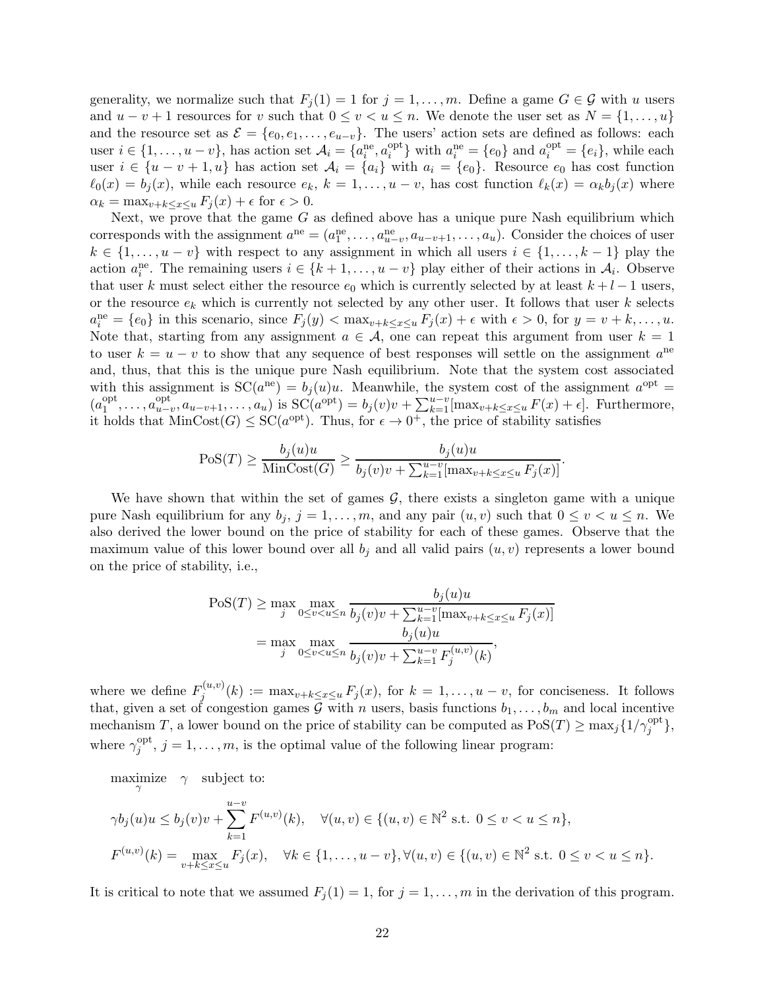generality, we normalize such that  $F_j(1) = 1$  for  $j = 1, ..., m$ . Define a game  $G \in \mathcal{G}$  with u users and  $u - v + 1$  resources for v such that  $0 \le v \le u \le n$ . We denote the user set as  $N = \{1, \ldots, u\}$ and the resource set as  $\mathcal{E} = \{e_0, e_1, \ldots, e_{u-v}\}.$  The users' action sets are defined as follows: each user  $i \in \{1, ..., u - v\}$ , has action set  $\mathcal{A}_i = \{a_i^{\text{ne}}, a_i^{\text{opt}}\}$  $\{e_i^{opt}\}\$  with  $a_i^{ne} = \{e_0\}$  and  $a_i^{opt} = \{e_i\}$ , while each user  $i \in \{u - v + 1, u\}$  has action set  $\mathcal{A}_i = \{a_i\}$  with  $a_i = \{e_0\}$ . Resource  $e_0$  has cost function  $\ell_0(x) = b_j(x)$ , while each resource  $e_k$ ,  $k = 1, \ldots, u - v$ , has cost function  $\ell_k(x) = \alpha_k b_j(x)$  where  $\alpha_k = \max_{v+k \leq x \leq u} F_i(x) + \epsilon$  for  $\epsilon > 0$ .

Next, we prove that the game  $G$  as defined above has a unique pure Nash equilibrium which corresponds with the assignment  $a^{ne} = (a_1^{ne}, \ldots, a_{u-v}^{ne}, a_{u-v+1}, \ldots, a_u)$ . Consider the choices of user  $k \in \{1, \ldots, u - v\}$  with respect to any assignment in which all users  $i \in \{1, \ldots, k - 1\}$  play the action  $a_i^{\text{ne}}$ . The remaining users  $i \in \{k+1,\ldots,u-v\}$  play either of their actions in  $\mathcal{A}_i$ . Observe that user k must select either the resource  $e_0$  which is currently selected by at least  $k + l - 1$  users, or the resource  $e_k$  which is currently not selected by any other user. It follows that user k selects  $a_i^{\text{ne}} = \{e_0\}$  in this scenario, since  $F_j(y) < \max_{v+k \le x \le u} F_j(x) + \epsilon$  with  $\epsilon > 0$ , for  $y = v + k, \ldots, u$ . Note that, starting from any assignment  $a \in \mathcal{A}$ , one can repeat this argument from user  $k = 1$ to user  $k = u - v$  to show that any sequence of best responses will settle on the assignment  $a^{ne}$ and, thus, that this is the unique pure Nash equilibrium. Note that the system cost associated with this assignment is  $SC(a^{ne}) = b_j(u)u$ . Meanwhile, the system cost of the assignment  $a^{opt} =$  $(a_1^{\text{opt}})$  $a_1^{\text{opt}}, \ldots, a_{u-1}^{\text{opt}}$ opt<sub>u-v</sub>,  $a_{u-v+1},...,a_u$ ) is SC( $a^{opt}$ ) =  $b_j(v)v + \sum_{k=1}^{u-v}$ [max<sub>v+k≤x≤u</sub>  $F(x) + \epsilon$ ]. Furthermore, it holds that  $MinCost(G) \le SC(a^{opt})$ . Thus, for  $\epsilon \to 0^+$ , the price of stability satisfies

$$
Pos(T) \ge \frac{b_j(u)u}{\text{MinCost}(G)} \ge \frac{b_j(u)u}{b_j(v)v + \sum_{k=1}^{u-v}[\max_{v+k \le x \le u} F_j(x)]}
$$

.

We have shown that within the set of games  $G$ , there exists a singleton game with a unique pure Nash equilibrium for any  $b_j$ ,  $j = 1, ..., m$ , and any pair  $(u, v)$  such that  $0 \le v \le u \le n$ . We also derived the lower bound on the price of stability for each of these games. Observe that the maximum value of this lower bound over all  $b_j$  and all valid pairs  $(u, v)$  represents a lower bound on the price of stability, i.e.,

$$
\text{PoS}(T) \ge \max_{j} \max_{0 \le v < u \le n} \frac{b_j(u)u}{b_j(v)v + \sum_{k=1}^{u-v} [\max_{v+k \le x \le u} F_j(x)]}
$$
\n
$$
= \max_{j} \max_{0 \le v < u \le n} \frac{b_j(u)u}{b_j(v)v + \sum_{k=1}^{u-v} F_j^{(u,v)}(k)},
$$

where we define  $F_i^{(u,v)}$  $j_j^{(u,v)}(k) := \max_{v+k \leq x \leq u} F_j(x)$ , for  $k = 1, \ldots, u - v$ , for conciseness. It follows that, given a set of congestion games  $\overline{\mathcal{G}}$  with n users, basis functions  $b_1, \ldots, b_m$  and local incentive mechanism T, a lower bound on the price of stability can be computed as  $Pos(T) \ge \max_j \{1/\gamma_j^{\text{opt}}\},\$ where  $\gamma_i^{\text{opt}}$  $j_j^{\text{opt}}, j = 1, \ldots, m$ , is the optimal value of the following linear program:

maximize  $\gamma$  subject to:

$$
\gamma b_j(u)u \le b_j(v)v + \sum_{k=1}^{u-v} F^{(u,v)}(k), \quad \forall (u,v) \in \{(u,v) \in \mathbb{N}^2 \text{ s.t. } 0 \le v < u \le n\},
$$
  

$$
F^{(u,v)}(k) = \max_{v+k \le x \le u} F_j(x), \quad \forall k \in \{1, \dots, u-v\}, \forall (u,v) \in \{(u,v) \in \mathbb{N}^2 \text{ s.t. } 0 \le v < u \le n\}.
$$

It is critical to note that we assumed  $F_j(1) = 1$ , for  $j = 1, \ldots, m$  in the derivation of this program.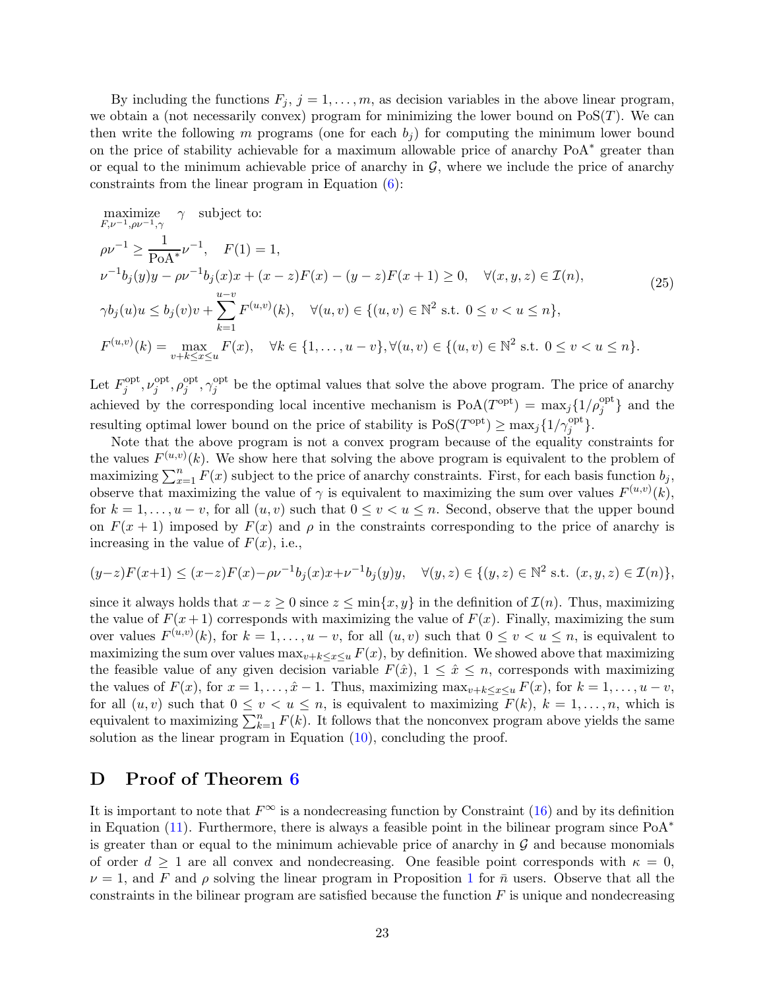By including the functions  $F_j$ ,  $j = 1, \ldots, m$ , as decision variables in the above linear program, we obtain a (not necessarily convex) program for minimizing the lower bound on  $\text{PoS}(T)$ . We can then write the following m programs (one for each  $b<sub>i</sub>$ ) for computing the minimum lower bound on the price of stability achievable for a maximum allowable price of anarchy PoA<sup>∗</sup> greater than or equal to the minimum achievable price of anarchy in  $G$ , where we include the price of anarchy constraints from the linear program in Equation [\(6\)](#page-6-2):

$$
\begin{aligned}\n\text{maximize} & \quad \gamma \quad \text{subject to:} \\
& \rho \nu^{-1} &\geq \frac{1}{\text{PoA}^*} \nu^{-1}, \quad F(1) = 1, \\
& \nu^{-1} b_j(y)y - \rho \nu^{-1} b_j(x)x + (x - z)F(x) - (y - z)F(x + 1) \geq 0, \quad \forall (x, y, z) \in \mathcal{I}(n), \\
& \gamma b_j(u)u \leq b_j(v)v + \sum_{k=1}^{u-v} F^{(u,v)}(k), \quad \forall (u, v) \in \{(u, v) \in \mathbb{N}^2 \text{ s.t. } 0 \leq v < u \leq n\}, \\
& F^{(u,v)}(k) &= \max_{v+k \leq x \leq u} F(x), \quad \forall k \in \{1, \dots, u - v\}, \forall (u, v) \in \{(u, v) \in \mathbb{N}^2 \text{ s.t. } 0 \leq v < u \leq n\}.\n\end{aligned}\n\tag{25}
$$

Let  $F_i^{\text{opt}}$  $j^{\text{opt}}, \nu_j^{\text{opt}}$  $j^{\text{opt}}, \rho_j^{\text{opt}}$  $_j^{\mathrm{opt}}, \gamma_j^{\mathrm{opt}}$ <sup>opt</sup> be the optimal values that solve the above program. The price of anarchy achieved by the corresponding local incentive mechanism is  $PoA(T^{opt}) = \max_j \{1/\rho_j^{opt}\}\$ and the resulting optimal lower bound on the price of stability is  $\mathrm{PoS}(T^{\mathrm{opt}}) \geq \max_j \{1/\gamma_j^{\mathrm{opt}}\}.$ 

Note that the above program is not a convex program because of the equality constraints for the values  $F^{(u,v)}(k)$ . We show here that solving the above program is equivalent to the problem of maximizing  $\sum_{x=1}^{n} F(x)$  subject to the price of anarchy constraints. First, for each basis function  $b_j$ , observe that maximizing the value of  $\gamma$  is equivalent to maximizing the sum over values  $F^{(u,v)}(k)$ , for  $k = 1, \ldots, u - v$ , for all  $(u, v)$  such that  $0 \le v \le u \le n$ . Second, observe that the upper bound on  $F(x + 1)$  imposed by  $F(x)$  and  $\rho$  in the constraints corresponding to the price of anarchy is increasing in the value of  $F(x)$ , i.e.,

$$
(y-z)F(x+1) \le (x-z)F(x) - \rho \nu^{-1} b_j(x) x + \nu^{-1} b_j(y) y, \quad \forall (y,z) \in \{(y,z) \in \mathbb{N}^2 \text{ s.t. } (x,y,z) \in \mathcal{I}(n)\},
$$

since it always holds that  $x-z \geq 0$  since  $z \leq \min\{x, y\}$  in the definition of  $\mathcal{I}(n)$ . Thus, maximizing the value of  $F(x+1)$  corresponds with maximizing the value of  $F(x)$ . Finally, maximizing the sum over values  $F^{(u,v)}(k)$ , for  $k = 1, \ldots, u - v$ , for all  $(u, v)$  such that  $0 \le v \le u \le n$ , is equivalent to maximizing the sum over values  $\max_{v+k\leq x\leq u} F(x)$ , by definition. We showed above that maximizing the feasible value of any given decision variable  $F(\hat{x})$ ,  $1 \leq \hat{x} \leq n$ , corresponds with maximizing the values of  $F(x)$ , for  $x = 1, \ldots, \hat{x} - 1$ . Thus, maximizing  $\max_{v+k \leq x \leq u} F(x)$ , for  $k = 1, \ldots, u - v$ , for all  $(u, v)$  such that  $0 \le v \le u \le n$ , is equivalent to maximizing  $F(k)$ ,  $k = 1, ..., n$ , which is equivalent to maximizing  $\sum_{k=1}^{n} F(k)$ . It follows that the nonconvex program above yields the same solution as the linear program in Equation  $(10)$ , concluding the proof.

# <span id="page-22-0"></span>D Proof of Theorem [6](#page-11-0)

It is important to note that  $F^{\infty}$  is a nondecreasing function by Constraint [\(16\)](#page-12-0) and by its definition in Equation [\(11\)](#page-11-1). Furthermore, there is always a feasible point in the bilinear program since  $PoA^*$ is greater than or equal to the minimum achievable price of anarchy in  $G$  and because monomials of order  $d \geq 1$  are all convex and nondecreasing. One feasible point corresponds with  $\kappa = 0$ ,  $\nu = 1$  $\nu = 1$ , and F and  $\rho$  solving the linear program in Proposition 1 for  $\bar{n}$  users. Observe that all the constraints in the bilinear program are satisfied because the function  $F$  is unique and nondecreasing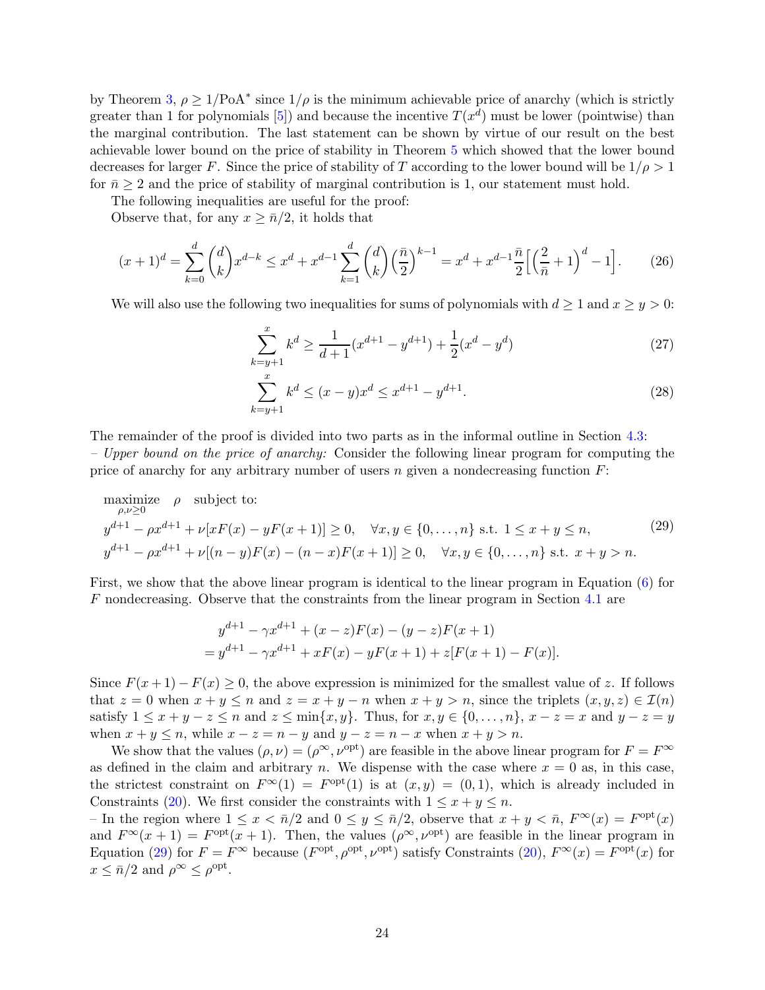by Theorem [3,](#page-7-0)  $\rho \geq 1/\text{PoA}^*$  since  $1/\rho$  is the minimum achievable price of anarchy (which is strictly greater than 1 for polynomials [\[5](#page-16-3)]) and because the incentive  $T(x^d)$  must be lower (pointwise) than the marginal contribution. The last statement can be shown by virtue of our result on the best achievable lower bound on the price of stability in Theorem [5](#page-10-0) which showed that the lower bound decreases for larger F. Since the price of stability of T according to the lower bound will be  $1/\rho > 1$ for  $\bar{n} \geq 2$  and the price of stability of marginal contribution is 1, our statement must hold.

The following inequalities are useful for the proof:

Observe that, for any  $x \geq \bar{n}/2$ , it holds that

$$
(x+1)^d = \sum_{k=0}^d \binom{d}{k} x^{d-k} \le x^d + x^{d-1} \sum_{k=1}^d \binom{d}{k} \left(\frac{\bar{n}}{2}\right)^{k-1} = x^d + x^{d-1} \frac{\bar{n}}{2} \left[ \left(\frac{2}{\bar{n}} + 1\right)^d - 1 \right].\tag{26}
$$

We will also use the following two inequalities for sums of polynomials with  $d \geq 1$  and  $x \geq y > 0$ :

<span id="page-23-1"></span>
$$
\sum_{k=y+1}^{x} k^{d} \ge \frac{1}{d+1} (x^{d+1} - y^{d+1}) + \frac{1}{2} (x^{d} - y^{d})
$$
\n(27)

<span id="page-23-0"></span>
$$
\sum_{k=y+1}^{x} k^d \le (x-y)x^d \le x^{d+1} - y^{d+1}.\tag{28}
$$

The remainder of the proof is divided into two parts as in the informal outline in Section [4.3:](#page-10-2) – Upper bound on the price of anarchy: Consider the following linear program for computing the price of anarchy for any arbitrary number of users  $n$  given a nondecreasing function  $F$ :

maximize 
$$
\rho
$$
 subject to:  
\n
$$
y^{d+1} - \rho x^{d+1} + \nu[xF(x) - yF(x+1)] \ge 0, \quad \forall x, y \in \{0, ..., n\} \text{ s.t. } 1 \le x + y \le n,
$$
\n
$$
y^{d+1} - \rho x^{d+1} + \nu[(n-y)F(x) - (n-x)F(x+1)] \ge 0, \quad \forall x, y \in \{0, ..., n\} \text{ s.t. } x + y > n.
$$
\n(29)

First, we show that the above linear program is identical to the linear program in Equation [\(6\)](#page-6-2) for F nondecreasing. Observe that the constraints from the linear program in Section [4.1](#page-8-3) are

$$
y^{d+1} - \gamma x^{d+1} + (x - z)F(x) - (y - z)F(x + 1)
$$
  
= 
$$
y^{d+1} - \gamma x^{d+1} + xF(x) - yF(x + 1) + z[F(x + 1) - F(x)].
$$

Since  $F(x+1) - F(x) \ge 0$ , the above expression is minimized for the smallest value of z. If follows that  $z = 0$  when  $x + y \leq n$  and  $z = x + y - n$  when  $x + y > n$ , since the triplets  $(x, y, z) \in \mathcal{I}(n)$ satisfy  $1 \leq x + y - z \leq n$  and  $z \leq \min\{x, y\}$ . Thus, for  $x, y \in \{0, ..., n\}$ ,  $x - z = x$  and  $y - z = y$ when  $x + y \le n$ , while  $x - z = n - y$  and  $y - z = n - x$  when  $x + y > n$ .

We show that the values  $(\rho, \nu) = (\rho^{\infty}, \nu^{\text{opt}})$  are feasible in the above linear program for  $F = F^{\infty}$ as defined in the claim and arbitrary n. We dispense with the case where  $x = 0$  as, in this case, the strictest constraint on  $F^{\infty}(1) = F^{\text{opt}}(1)$  is at  $(x, y) = (0, 1)$ , which is already included in Constraints [\(20\)](#page-12-1). We first consider the constraints with  $1 \leq x + y \leq n$ .

– In the region where  $1 \leq x < \bar{n}/2$  and  $0 \leq y \leq \bar{n}/2$ , observe that  $x + y < \bar{n}$ ,  $F^{\infty}(x) = F^{\text{opt}}(x)$ and  $F^{\infty}(x+1) = F^{\text{opt}}(x+1)$ . Then, the values  $(\rho^{\infty}, \nu^{\text{opt}})$  are feasible in the linear program in Equation [\(29\)](#page-23-0) for  $F = F^{\infty}$  because  $(F^{opt}, \rho^{opt}, \nu^{opt})$  satisfy Constraints [\(20\)](#page-12-1),  $F^{\infty}(x) = F^{opt}(x)$  for  $x \leq \bar{n}/2$  and  $\rho^{\infty} \leq \rho^{\text{opt}}$ .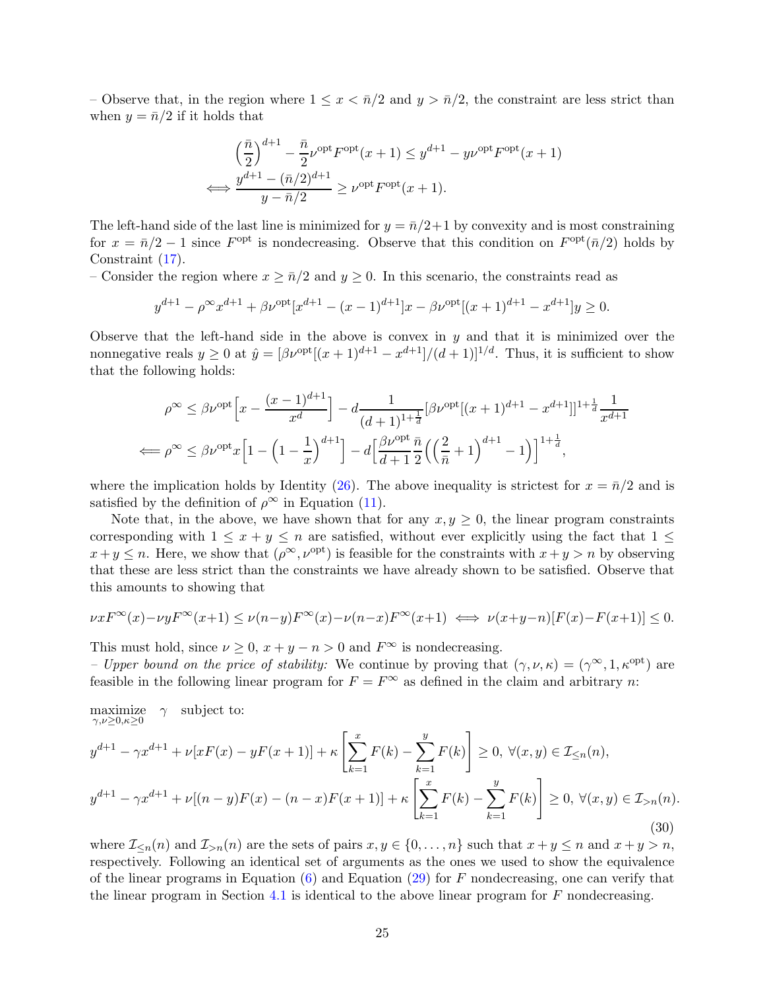– Observe that, in the region where  $1 \leq x < \bar{n}/2$  and  $y > \bar{n}/2$ , the constraint are less strict than when  $y = \bar{n}/2$  if it holds that

$$
\left(\frac{\bar{n}}{2}\right)^{d+1} - \frac{\bar{n}}{2}\nu^{\text{opt}}F^{\text{opt}}(x+1) \le y^{d+1} - y\nu^{\text{opt}}F^{\text{opt}}(x+1)
$$
  

$$
\iff \frac{y^{d+1} - (\bar{n}/2)^{d+1}}{y - \bar{n}/2} \ge \nu^{\text{opt}}F^{\text{opt}}(x+1).
$$

The left-hand side of the last line is minimized for  $y = \bar{n}/2+1$  by convexity and is most constraining for  $x = \bar{n}/2 - 1$  since  $F^{\text{opt}}$  is nondecreasing. Observe that this condition on  $F^{\text{opt}}(\bar{n}/2)$  holds by Constraint [\(17\)](#page-12-2).

– Consider the region where  $x \geq \bar{n}/2$  and  $y \geq 0$ . In this scenario, the constraints read as

$$
y^{d+1} - \rho^{\infty} x^{d+1} + \beta \nu^{\text{opt}} [x^{d+1} - (x-1)^{d+1}]x - \beta \nu^{\text{opt}} [(x+1)^{d+1} - x^{d+1}]y \ge 0.
$$

Observe that the left-hand side in the above is convex in  $y$  and that it is minimized over the nonnegative reals  $y \ge 0$  at  $\hat{y} = [\beta \nu^{\text{opt}}[(x+1)^{d+1} - x^{d+1}]/(d+1)]^{1/d}$ . Thus, it is sufficient to show that the following holds:

$$
\rho^{\infty} \leq \beta \nu^{\text{opt}} \Big[ x - \frac{(x-1)^{d+1}}{x^d} \Big] - d \frac{1}{(d+1)^{1+\frac{1}{d}}} [\beta \nu^{\text{opt}}[(x+1)^{d+1} - x^{d+1}]]^{1+\frac{1}{d}} \frac{1}{x^{d+1}}
$$
  

$$
\Longleftrightarrow \rho^{\infty} \leq \beta \nu^{\text{opt}} x \Big[ 1 - \Big( 1 - \frac{1}{x} \Big)^{d+1} \Big] - d \Big[ \frac{\beta \nu^{\text{opt}}}{d+1} \frac{\bar{n}}{2} \Big( \Big( \frac{2}{\bar{n}} + 1 \Big)^{d+1} - 1 \Big) \Big]^{1+\frac{1}{d}},
$$

where the implication holds by Identity [\(26\)](#page-23-1). The above inequality is strictest for  $x = \bar{n}/2$  and is satisfied by the definition of  $\rho^{\infty}$  in Equation [\(11\)](#page-11-1).

Note that, in the above, we have shown that for any  $x, y \ge 0$ , the linear program constraints corresponding with  $1 \leq x + y \leq n$  are satisfied, without ever explicitly using the fact that  $1 \leq$  $x+y \leq n$ . Here, we show that  $(\rho^{\infty}, \nu^{\text{opt}})$  is feasible for the constraints with  $x+y > n$  by observing that these are less strict than the constraints we have already shown to be satisfied. Observe that this amounts to showing that

$$
\nu x F^{\infty}(x) - \nu y F^{\infty}(x+1) \le \nu (n-y) F^{\infty}(x) - \nu (n-x) F^{\infty}(x+1) \iff \nu (x+y-n)[F(x) - F(x+1)] \le 0.
$$

This must hold, since  $\nu \geq 0$ ,  $x + y - n > 0$  and  $F^{\infty}$  is nondecreasing.

<span id="page-24-0"></span>– Upper bound on the price of stability: We continue by proving that  $(\gamma, \nu, \kappa) = (\gamma^{\infty}, 1, \kappa^{\text{opt}})$  are feasible in the following linear program for  $F = F^{\infty}$  as defined in the claim and arbitrary n:

maximize  $\gamma,\nu\geq 0,\kappa\geq 0$  $\gamma$  subject to:

$$
y^{d+1} - \gamma x^{d+1} + \nu[xF(x) - yF(x+1)] + \kappa \left[ \sum_{k=1}^{x} F(k) - \sum_{k=1}^{y} F(k) \right] \ge 0, \ \forall (x, y) \in \mathcal{I}_{\le n}(n),
$$
  

$$
y^{d+1} - \gamma x^{d+1} + \nu[(n-y)F(x) - (n-x)F(x+1)] + \kappa \left[ \sum_{k=1}^{x} F(k) - \sum_{k=1}^{y} F(k) \right] \ge 0, \ \forall (x, y) \in \mathcal{I}_{>n}(n).
$$
  
(30)

where  $\mathcal{I}_{\leq n}(n)$  and  $\mathcal{I}_{>n}(n)$  are the sets of pairs  $x, y \in \{0, \ldots, n\}$  such that  $x + y \leq n$  and  $x + y > n$ , respectively. Following an identical set of arguments as the ones we used to show the equivalence of the linear programs in Equation  $(6)$  and Equation  $(29)$  for F nondecreasing, one can verify that the linear program in Section [4.1](#page-8-3) is identical to the above linear program for  $F$  nondecreasing.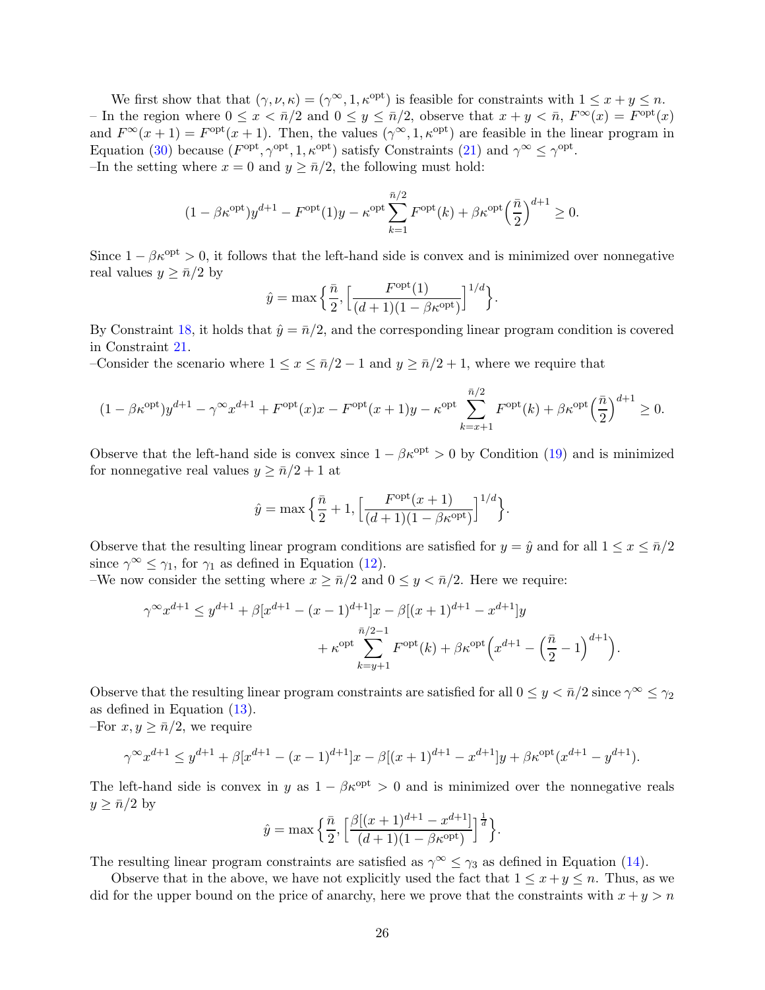We first show that that  $(\gamma, \nu, \kappa) = (\gamma^{\infty}, 1, \kappa^{\text{opt}})$  is feasible for constraints with  $1 \leq x + y \leq n$ . – In the region where  $0 \le x < \bar{n}/2$  and  $0 \le y \le \bar{n}/2$ , observe that  $x + y < \bar{n}$ ,  $F^{\infty}(x) = F^{\text{opt}}(x)$ and  $F^{\infty}(x+1) = F^{\text{opt}}(x+1)$ . Then, the values  $(\gamma^{\infty}, 1, \kappa^{\text{opt}})$  are feasible in the linear program in Equation [\(30\)](#page-24-0) because  $(F^{opt}, \gamma^{opt}, 1, \kappa^{opt})$  satisfy Constraints [\(21\)](#page-12-3) and  $\gamma^{\infty} \leq \gamma^{opt}$ . –In the setting where  $x = 0$  and  $y \ge \bar{n}/2$ , the following must hold:

$$
(1 - \beta \kappa^{\text{opt}})y^{d+1} - F^{\text{opt}}(1)y - \kappa^{\text{opt}} \sum_{k=1}^{\bar{n}/2} F^{\text{opt}}(k) + \beta \kappa^{\text{opt}} \left(\frac{\bar{n}}{2}\right)^{d+1} \ge 0.
$$

Since  $1 - \beta \kappa^{\text{opt}} > 0$ , it follows that the left-hand side is convex and is minimized over nonnegative real values  $y \geq \bar{n}/2$  by

$$
\hat{y} = \max\Big\{\frac{\bar{n}}{2}, \Big[\frac{F^{\text{opt}}(1)}{(d+1)(1-\beta\kappa^{\text{opt}})}\Big]^{1/d}\Big\}.
$$

By Constraint [18,](#page-12-4) it holds that  $\hat{y} = \bar{n}/2$ , and the corresponding linear program condition is covered in Constraint [21.](#page-12-3)

–Consider the scenario where  $1 \le x \le \bar{n}/2 - 1$  and  $y \ge \bar{n}/2 + 1$ , where we require that

$$
(1 - \beta \kappa^{\text{opt}})y^{d+1} - \gamma^{\infty} x^{d+1} + F^{\text{opt}}(x)x - F^{\text{opt}}(x+1)y - \kappa^{\text{opt}} \sum_{k=x+1}^{\bar{n}/2} F^{\text{opt}}(k) + \beta \kappa^{\text{opt}} \left(\frac{\bar{n}}{2}\right)^{d+1} \ge 0.
$$

Observe that the left-hand side is convex since  $1 - \beta \kappa^{\text{opt}} > 0$  by Condition [\(19\)](#page-12-5) and is minimized for nonnegative real values  $y \geq \bar{n}/2 + 1$  at

$$
\hat{y} = \max\left\{\frac{\bar{n}}{2} + 1, \left[\frac{F^{\text{opt}}(x+1)}{(d+1)(1-\beta\kappa^{\text{opt}})}\right]^{1/d}\right\}.
$$

Observe that the resulting linear program conditions are satisfied for  $y = \hat{y}$  and for all  $1 \leq x \leq \bar{n}/2$ since  $\gamma^{\infty} \leq \gamma_1$ , for  $\gamma_1$  as defined in Equation [\(12\)](#page-11-2).

–We now consider the setting where  $x \geq \bar{n}/2$  and  $0 \leq y < \bar{n}/2$ . Here we require:

$$
\gamma^{\infty} x^{d+1} \le y^{d+1} + \beta [x^{d+1} - (x-1)^{d+1}]x - \beta [(x+1)^{d+1} - x^{d+1}]y
$$
  
+ 
$$
\kappa^{\text{opt}} \sum_{k=y+1}^{\bar{n}/2-1} F^{\text{opt}}(k) + \beta \kappa^{\text{opt}} \left( x^{d+1} - \left( \frac{\bar{n}}{2} - 1 \right)^{d+1} \right).
$$

Observe that the resulting linear program constraints are satisfied for all  $0 \le y < \bar{n}/2$  since  $\gamma^{\infty} \le \gamma_2$ as defined in Equation [\(13\)](#page-11-4).

–For  $x, y \geq \bar{n}/2$ , we require

$$
\gamma^{\infty} x^{d+1} \le y^{d+1} + \beta [x^{d+1} - (x-1)^{d+1}]x - \beta [(x+1)^{d+1} - x^{d+1}]y + \beta \kappa^{\text{opt}} (x^{d+1} - y^{d+1}).
$$

The left-hand side is convex in y as  $1 - \beta \kappa^{opt} > 0$  and is minimized over the nonnegative reals  $y \geq \bar{n}/2$  by

$$
\hat{y} = \max\Big\{\frac{\bar{n}}{2}, \Big[\frac{\beta[(x+1)^{d+1} - x^{d+1}]}{(d+1)(1 - \beta \kappa^{\text{opt}})}\Big]^{\frac{1}{d}}\Big\}.
$$

The resulting linear program constraints are satisfied as  $\gamma^{\infty} \leq \gamma_3$  as defined in Equation [\(14\)](#page-11-3).

Observe that in the above, we have not explicitly used the fact that  $1 \leq x + y \leq n$ . Thus, as we did for the upper bound on the price of anarchy, here we prove that the constraints with  $x + y > n$